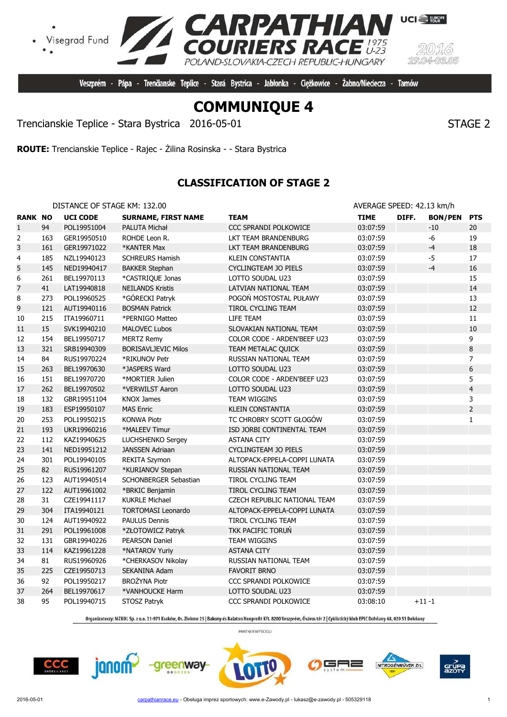

Veszprém - Pápa - Trenčianske Teplice - Stará Bystrica - Jabłonka - Ciężkowice -

**PATHIAN**<br>IERS RACE

POLAND-SLOVAKIA-CZECH REPUBLIC-HUNGARY

Trencianskie Teplice - Stara Bystrica 2016-05-01 STAGE 2

**ROUTE:** Trencianskie Teplice - Rajec - Żilina Rosinska - - Stara Bystrica

# **CLASSIFICATION OF STAGE 2**

| DISTANCE OF STAGE KM: 132.00 |  |  |
|------------------------------|--|--|
|                              |  |  |

Visegrad Fund

| <b>RANK NO</b> |     | <b>UCI CODE</b> | <b>SURNAME, FIRST NAME</b> | <b>TEAM</b>                  | <b>TIME</b> | DIFF.     | <b>BON/PEN</b> | <b>PTS</b>              |
|----------------|-----|-----------------|----------------------------|------------------------------|-------------|-----------|----------------|-------------------------|
| $\mathbf{1}$   | 94  | POL19951004     | PALUTA Michał              | CCC SPRANDI POLKOWICE        | 03:07:59    |           | $-10$          | 20                      |
| 2              | 163 | GER19950510     | ROHDE Leon R.              | LKT TEAM BRANDENBURG         | 03:07:59    |           | $-6$           | 19                      |
| 3              | 161 | GER19971022     | *KANTER Max                | LKT TEAM BRANDENBURG         | 03:07:59    |           | $-4$           | 18                      |
| 4              | 185 | NZL19940123     | <b>SCHREURS Hamish</b>     | KLEIN CONSTANTIA             | 03:07:59    |           | $-5$           | 17                      |
| 5              | 145 | NED19940417     | <b>BAKKER Stephan</b>      | <b>CYCLINGTEAM JO PIELS</b>  | 03:07:59    |           | $-4$           | 16                      |
| 6              | 261 | BEL19970113     | *CASTRIOUE Jonas           | LOTTO SOUDAL U23             | 03:07:59    |           |                | 15                      |
| 7              | 41  | LAT19940818     | <b>NEILANDS Kristis</b>    | LATVIAN NATIONAL TEAM        | 03:07:59    |           |                | 14                      |
| 8              | 273 | POL19960525     | *GÓRECKI Patryk            | POGOŃ MOSTOSTAL PUŁAWY       | 03:07:59    |           |                | 13                      |
| 9              | 121 | AUT19940116     | <b>BOSMAN Patrick</b>      | TIROL CYCLING TEAM           | 03:07:59    |           |                | 12                      |
| $10\,$         | 215 | ITA19960711     | *PERNIGO Matteo            | LIFE TEAM                    | 03:07:59    |           |                | 11                      |
| 11             | 15  | SVK19940210     | <b>MALOVEC Lubos</b>       | SLOVAKIAN NATIONAL TEAM      | 03:07:59    |           |                | 10                      |
| 12             | 154 | BEL19950717     | <b>MERTZ Remy</b>          | COLOR CODE - ARDEN'BEEF U23  | 03:07:59    |           |                | 9                       |
| 13             | 321 | SRB19940309     | <b>BORISAVLJEVIC Milos</b> | TEAM METALAC QUICK           | 03:07:59    |           |                | 8                       |
| 14             | 84  | RUS19970224     | *RIKUNOV Petr              | RUSSIAN NATIONAL TEAM        | 03:07:59    |           |                | 7                       |
| 15             | 263 | BEL19970630     | *JASPERS Ward              | LOTTO SOUDAL U23             | 03:07:59    |           |                | 6                       |
| 16             | 151 | BEL19970720     | *MORTIER Julien            | COLOR CODE - ARDEN'BEEF U23  | 03:07:59    |           |                | 5                       |
| 17             | 262 | BEL19970502     | *VERWILST Aaron            | LOTTO SOUDAL U23             | 03:07:59    |           |                | $\overline{\mathbf{4}}$ |
| 18             | 132 | GBR19951104     | <b>KNOX James</b>          | TEAM WIGGINS                 | 03:07:59    |           |                | 3                       |
| 19             | 183 | ESP19950107     | <b>MAS Enric</b>           | <b>KLEIN CONSTANTIA</b>      | 03:07:59    |           |                | $\overline{2}$          |
| 20             | 253 | POL19950215     | <b>KONWA Piotr</b>         | TC CHROBRY SCOTT GŁOGÓW      | 03:07:59    |           |                | $\mathbf{1}$            |
| 21             | 193 | UKR19960216     | *MALEEV Timur              | ISD JORBI CONTINENTAL TEAM   | 03:07:59    |           |                |                         |
| 22             | 112 | KAZ19940625     | LUCHSHENKO Sergey          | <b>ASTANA CITY</b>           | 03:07:59    |           |                |                         |
| 23             | 141 | NED19951212     | <b>JANSSEN Adriaan</b>     | <b>CYCLINGTEAM JO PIELS</b>  | 03:07:59    |           |                |                         |
| 24             | 301 | POL19940105     | <b>REKITA Szymon</b>       | ALTOPACK-EPPELA-COPPI LUNATA | 03:07:59    |           |                |                         |
| 25             | 82  | RUS19961207     | *KURIANOV Stepan           | RUSSIAN NATIONAL TEAM        | 03:07:59    |           |                |                         |
| 26             | 123 | AUT19940514     | SCHONBERGER Sebastian      | TIROL CYCLING TEAM           | 03:07:59    |           |                |                         |
| 27             | 122 | AUT19961002     | *BRKIC Benjamin            | TIROL CYCLING TEAM           | 03:07:59    |           |                |                         |
| 28             | 31  | CZE19941117     | <b>KUKRLE Michael</b>      | CZECH REPUBLIC NATIONAL TEAM | 03:07:59    |           |                |                         |
| 29             | 304 | ITA19940121     | <b>TORTOMASI Leonardo</b>  | ALTOPACK-EPPELA-COPPI LUNATA | 03:07:59    |           |                |                         |
| 30             | 124 | AUT19940922     | <b>PAULUS Dennis</b>       | <b>TIROL CYCLING TEAM</b>    | 03:07:59    |           |                |                         |
| 31             | 291 | POL19961008     | *ZŁOTOWICZ Patryk          | TKK PACIFIC TORUN            | 03:07:59    |           |                |                         |
| 32             | 131 | GBR19940226     | <b>PEARSON Daniel</b>      | <b>TEAM WIGGINS</b>          | 03:07:59    |           |                |                         |
| 33             | 114 | KAZ19961228     | *NATAROV Yuriy             | <b>ASTANA CITY</b>           | 03:07:59    |           |                |                         |
| 34             | 81  | RUS19960926     | *CHERKASOV Nikolay         | RUSSIAN NATIONAL TEAM        | 03:07:59    |           |                |                         |
| 35             | 225 | CZE19950713     | SEKANINA Adam              | <b>FAVORIT BRNO</b>          | 03:07:59    |           |                |                         |
| 36             | 92  | POL19950217     | <b>BROŻYNA Piotr</b>       | CCC SPRANDI POLKOWICE        | 03:07:59    |           |                |                         |
| 37             | 264 | BEL19970617     | *VANHOUCKE Harm            | LOTTO SOUDAL U23             | 03:07:59    |           |                |                         |
| 38             | 95  | POL19940715     | STOSZ Patryk               | CCC SPRANDI POLKOWICE        | 03:08:10    | $+11 - 1$ |                |                         |

Organizatorzy: MZKOL Sp. z o.o. 31-971 Kraków, Os. Zielone 25 | Bakony és Balaton Nonprofit Kft. 8200 Veszprém, Óváros tér 2 | Cyklistický klub EPIC Dohňany 68, 020 51 Dohňany

PARTNER WYŚCIGU

 $CCC$ 

janom-

greenway





AVERAGE SPEED: 42.13 km/h

Żabno/Nieciecza - Tarnów

**UCI** FURGPE



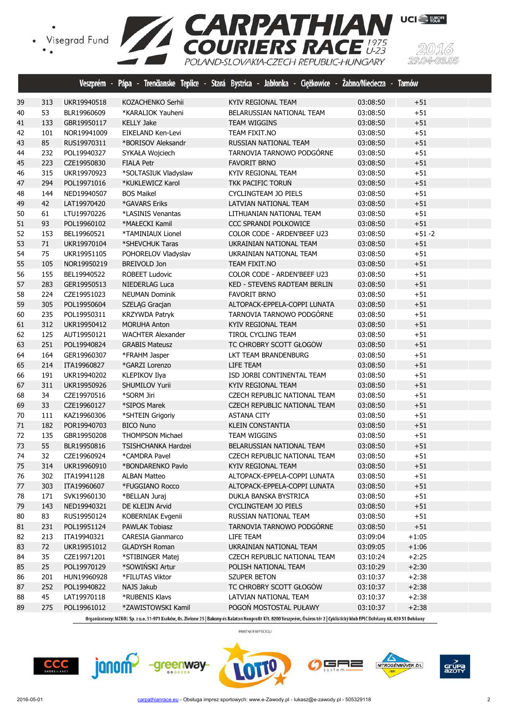

(5)  $29.04$ 

|    |     |             |                          | Veszprém - Pápa - Trenčianske Teplice - Stará Bystrica - Jabłonka - Ciężkowice - Żabno/Nieciecza - Tarnów |          |           |
|----|-----|-------------|--------------------------|-----------------------------------------------------------------------------------------------------------|----------|-----------|
| 39 | 313 | UKR19940518 | KOZACHENKO Serhii        | KYIV REGIONAL TEAM                                                                                        | 03:08:50 | $+51$     |
| 40 | 53  | BLR19960609 | *KARALIOK Yauheni        | BELARUSSIAN NATIONAL TEAM                                                                                 | 03:08:50 | $+51$     |
| 41 | 133 | GBR19950117 | <b>KELLY Jake</b>        | <b>TEAM WIGGINS</b>                                                                                       | 03:08:50 | $+51$     |
| 42 | 101 | NOR19941009 | EIKELAND Ken-Levi        | TEAM FIXIT.NO                                                                                             | 03:08:50 | $+51$     |
| 43 | 85  | RUS19970311 | *BORISOV Aleksandr       | RUSSIAN NATIONAL TEAM                                                                                     | 03:08:50 | $+51$     |
| 44 | 232 | POL19940327 | SYKAŁA Wojciech          | TARNOVIA TARNOWO PODGÓRNE                                                                                 | 03:08:50 | $+51$     |
| 45 | 223 | CZE19950830 | <b>FIALA Petr</b>        | <b>FAVORIT BRNO</b>                                                                                       | 03:08:50 | $+51$     |
| 46 | 315 | UKR19970923 | *SOLTASIUK Vladyslaw     | KYIV REGIONAL TEAM                                                                                        | 03:08:50 | $+51$     |
| 47 | 294 | POL19971016 | *KUKLEWICZ Karol         | TKK PACIFIC TORUN                                                                                         | 03:08:50 | $+51$     |
| 48 | 144 | NED19940507 | <b>BOS Maikel</b>        | CYCLINGTEAM JO PIELS                                                                                      | 03:08:50 | $+51$     |
| 49 | 42  | LAT19970420 | *GAVARS Eriks            | LATVIAN NATIONAL TEAM                                                                                     | 03:08:50 | $+51$     |
| 50 | 61  | LTU19970226 | *LASINIS Venantas        | LITHUANIAN NATIONAL TEAM                                                                                  | 03:08:50 | $+51$     |
| 51 | 93  | POL19960102 | *MAŁECKI Kamil           | CCC SPRANDI POLKOWICE                                                                                     | 03:08:50 | $+51$     |
| 52 | 153 | BEL19960521 | *TAMINIAUX Lionel        | COLOR CODE - ARDEN'BEEF U23                                                                               | 03:08:50 | $+51 - 2$ |
| 53 | 71  | UKR19970104 | *SHEVCHUK Taras          | UKRAINIAN NATIONAL TEAM                                                                                   | 03:08:50 | $+51$     |
| 54 | 75  | UKR19951105 | POHORELOV Vladyslav      | UKRAINIAN NATIONAL TEAM                                                                                   | 03:08:50 | $+51$     |
| 55 | 105 | NOR19950219 | <b>BREIVOLD Jon</b>      | TEAM FIXIT.NO                                                                                             | 03:08:50 | $+51$     |
| 56 | 155 | BEL19940522 | <b>ROBEET Ludovic</b>    | COLOR CODE - ARDEN'BEEF U23                                                                               | 03:08:50 | $+51$     |
| 57 | 283 | GER19950513 | <b>NIEDERLAG Luca</b>    | <b>KED - STEVENS RADTEAM BERLIN</b>                                                                       | 03:08:50 | $+51$     |
| 58 | 224 | CZE19951023 | <b>NEUMAN Dominik</b>    | <b>FAVORIT BRNO</b>                                                                                       | 03:08:50 | $+51$     |
| 59 | 305 | POL19950604 | SZELĄG Gracjan           | ALTOPACK-EPPELA-COPPI LUNATA                                                                              | 03:08:50 | $+51$     |
| 60 | 235 | POL19950311 | KRZYWDA Patryk           | TARNOVIA TARNOWO PODGÓRNE                                                                                 | 03:08:50 | $+51$     |
| 61 | 312 | UKR19950412 | <b>MORUHA Anton</b>      | KYIV REGIONAL TEAM                                                                                        | 03:08:50 | $+51$     |
| 62 | 125 | AUT19950121 | <b>WACHTER Alexander</b> | TIROL CYCLING TEAM                                                                                        | 03:08:50 | $+51$     |
| 63 | 251 | POL19940824 | <b>GRABIS Mateusz</b>    | TC CHROBRY SCOTT GŁOGÓW                                                                                   | 03:08:50 | $+51$     |
| 64 | 164 | GER19960307 | *FRAHM Jasper            | LKT TEAM BRANDENBURG                                                                                      | 03:08:50 | $+51$     |
| 65 | 214 | ITA19960827 | *GARZI Lorenzo           | LIFE TEAM                                                                                                 | 03:08:50 | $+51$     |
| 66 | 191 | UKR19940202 | <b>KLEPIKOV Ilya</b>     | ISD JORBI CONTINENTAL TEAM                                                                                | 03:08:50 | $+51$     |
| 67 | 311 | UKR19950926 | <b>SHUMILOV Yurii</b>    | KYIV REGIONAL TEAM                                                                                        | 03:08:50 | $+51$     |
| 68 | 34  | CZE19970516 | *SORM Jiri               | CZECH REPUBLIC NATIONAL TEAM                                                                              | 03:08:50 | $+51$     |
| 69 | 33  | CZE19960127 | *SIPOS Marek             | CZECH REPUBLIC NATIONAL TEAM                                                                              | 03:08:50 | $+51$     |
| 70 | 111 | KAZ19960306 | *SHTEIN Grigoriy         | <b>ASTANA CITY</b>                                                                                        | 03:08:50 | $+51$     |
| 71 | 182 | POR19940703 | <b>BICO Nuno</b>         | <b>KLEIN CONSTANTIA</b>                                                                                   | 03:08:50 | $+51$     |
| 72 | 135 | GBR19950208 | THOMPSON Michael         | <b>TEAM WIGGINS</b>                                                                                       | 03:08:50 | $+51$     |
| 73 | 55  | BLR19950816 | TSISHCHANKA Hardzei      | BELARUSSIAN NATIONAL TEAM                                                                                 | 03:08:50 | $+51$     |
| 74 | 32  | CZE19960924 | *CAMDRA Pavel            | CZECH REPUBLIC NATIONAL TEAM                                                                              | 03:08:50 | $+51$     |
| 75 | 314 | UKR19960910 | *BONDARENKO Pavlo        | KYIV REGIONAL TEAM                                                                                        | 03:08:50 | $+51$     |
| 76 | 302 | ITA19941128 | <b>ALBAN Matteo</b>      | ALTOPACK-EPPELA-COPPI LUNATA                                                                              | 03:08:50 | $+51$     |
| 77 | 303 | ITA19960607 | *FUGGIANO Rocco          | ALTOPACK-EPPELA-COPPI LUNATA                                                                              | 03:08:50 | $+51$     |
| 78 | 171 | SVK19960130 | *BELLAN Juraj            | DUKLA BANSKA BYSTRICA                                                                                     | 03:08:50 | $+51$     |
| 79 | 143 | NED19940321 | DE KLEIJN Arvid          | <b>CYCLINGTEAM JO PIELS</b>                                                                               | 03:08:50 | $+51$     |
| 80 | 83  | RUS19950124 | KOBERNIAK Evgenii        | RUSSIAN NATIONAL TEAM                                                                                     | 03:08:50 | $+51$     |
| 81 | 231 | POL19951124 | <b>PAWLAK Tobiasz</b>    | TARNOVIA TARNOWO PODGÓRNE                                                                                 | 03:08:50 | $+51$     |
| 82 | 213 | ITA19940321 | <b>CARESIA Gianmarco</b> | LIFE TEAM                                                                                                 | 03:09:04 | $+1:05$   |
| 83 | 72  | UKR19951012 | <b>GLADYSH Roman</b>     | UKRAINIAN NATIONAL TEAM                                                                                   | 03:09:05 | $+1:06$   |
| 84 | 35  | CZE19971201 | *STIBINGER Matei         | CZECH REPUBLIC NATIONAL TEAM                                                                              | 03:10:24 | $+2:25$   |
| 85 | 25  | POL19970129 | *SOWIŃSKI Artur          | POLISH NATIONAL TEAM                                                                                      | 03:10:29 | $+2:30$   |
| 86 | 201 | HUN19960928 | *FILUTAS Viktor          | <b>SZUPER BETON</b>                                                                                       | 03:10:37 | $+2:38$   |
| 87 | 252 | POL19940822 | NAJS Jakub               | TC CHROBRY SCOTT GŁOGÓW                                                                                   | 03:10:37 | $+2:38$   |
| 88 | 45  | LAT19970118 | *RUBENIS Klavs           | LATVIAN NATIONAL TEAM                                                                                     | 03:10:37 | $+2:38$   |
| 89 | 275 | POL19961012 | *ZAWISTOWSKI Kamil       | POGOŃ MOSTOSTAL PUŁAWY                                                                                    | 03:10:37 | $+2:38$   |

Organizatorzy: MZKOL Sp. z o.o. 31-971 Kraków, Os. Zielone 25 | Bakony és Balaton Nonprofit Kft. 8200 Veszprém, Óváros tér 2 | Cyklistický klub EPIC Dohňany 68, 020 51 Dohňany







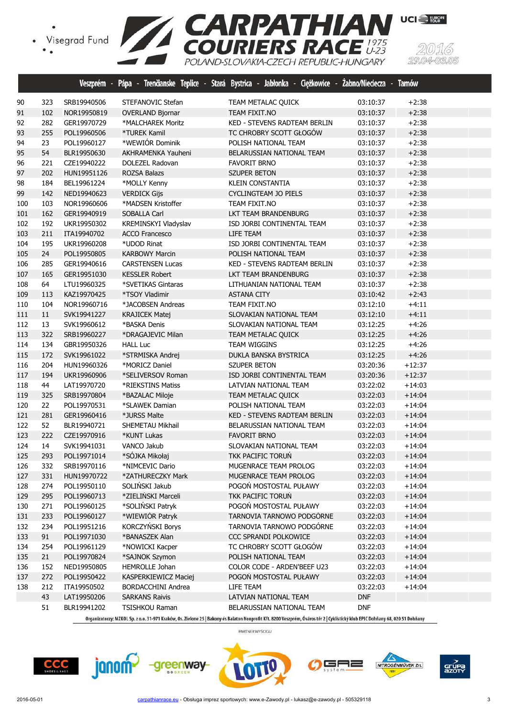

|     |     |             |                           | Veszprém - Pápa - Trenčianske Teplice - Stará Bystrica - Jabłonka - Ciężkowice - Zabno/Nieciecza - Tarnów |            |          |
|-----|-----|-------------|---------------------------|-----------------------------------------------------------------------------------------------------------|------------|----------|
| 90  | 323 | SRB19940506 | STEFANOVIC Stefan         | TEAM METALAC QUICK                                                                                        | 03:10:37   | $+2:38$  |
| 91  | 102 | NOR19950819 | <b>OVERLAND Bjornar</b>   | TEAM FIXIT.NO                                                                                             | 03:10:37   | $+2:38$  |
| 92  | 282 | GER19970729 | *MALCHAREK Moritz         | KED - STEVENS RADTEAM BERLIN                                                                              | 03:10:37   | $+2:38$  |
| 93  | 255 | POL19960506 | *TUREK Kamil              | TC CHROBRY SCOTT GŁOGÓW                                                                                   | 03:10:37   | $+2:38$  |
| 94  | 23  | POL19960127 | *WEWIÓR Dominik           | POLISH NATIONAL TEAM                                                                                      | 03:10:37   | $+2:38$  |
| 95  | 54  | BLR19950630 | AKHRAMENKA Yauheni        | BELARUSSIAN NATIONAL TEAM                                                                                 | 03:10:37   | $+2:38$  |
| 96  | 221 | CZE19940222 | DOLEZEL Radovan           | <b>FAVORIT BRNO</b>                                                                                       | 03:10:37   | $+2:38$  |
| 97  | 202 | HUN19951126 | <b>ROZSA Balazs</b>       | SZUPER BETON                                                                                              | 03:10:37   | $+2:38$  |
| 98  | 184 | BEL19961224 | *MOLLY Kenny              | <b>KLEIN CONSTANTIA</b>                                                                                   | 03:10:37   | $+2:38$  |
| 99  | 142 | NED19940623 | <b>VERDICK Gijs</b>       | <b>CYCLINGTEAM JO PIELS</b>                                                                               | 03:10:37   | $+2:38$  |
| 100 | 103 | NOR19960606 | *MADSEN Kristoffer        | TEAM FIXIT.NO                                                                                             | 03:10:37   | $+2:38$  |
| 101 | 162 | GER19940919 | SOBALLA Carl              | LKT TEAM BRANDENBURG                                                                                      | 03:10:37   | $+2:38$  |
| 102 | 192 | UKR19950302 | KREMINSKYI Vladyslav      | ISD JORBI CONTINENTAL TEAM                                                                                | 03:10:37   | $+2:38$  |
| 103 | 211 | ITA19940702 | <b>ACCO Francesco</b>     | LIFE TEAM                                                                                                 | 03:10:37   | $+2:38$  |
| 104 | 195 | UKR19960208 | *UDOD Rinat               | ISD JORBI CONTINENTAL TEAM                                                                                | 03:10:37   | $+2:38$  |
| 105 | 24  | POL19950805 | <b>KARBOWY Marcin</b>     | POLISH NATIONAL TEAM                                                                                      | 03:10:37   | $+2:38$  |
| 106 | 285 | GER19940616 | <b>CARSTENSEN Lucas</b>   | KED - STEVENS RADTEAM BERLIN                                                                              | 03:10:37   | $+2:38$  |
| 107 | 165 | GER19951030 | <b>KESSLER Robert</b>     | LKT TEAM BRANDENBURG                                                                                      | 03:10:37   | $+2:38$  |
| 108 | 64  | LTU19960325 | *SVETIKAS Gintaras        | LITHUANIAN NATIONAL TEAM                                                                                  | 03:10:37   | $+2:38$  |
| 109 | 113 | KAZ19970425 | *TSOY Vladimir            | <b>ASTANA CITY</b>                                                                                        | 03:10:42   | $+2:43$  |
| 110 | 104 | NOR19960716 | *JACOBSEN Andreas         | TEAM FIXIT.NO                                                                                             | 03:12:10   | $+4:11$  |
| 111 | 11  | SVK19941227 | <b>KRAJICEK Matej</b>     | SLOVAKIAN NATIONAL TEAM                                                                                   | 03:12:10   | $+4:11$  |
| 112 | 13  | SVK19960612 | *BASKA Denis              | SLOVAKIAN NATIONAL TEAM                                                                                   | 03:12:25   | $+4:26$  |
| 113 | 322 | SRB19960227 | *DRAGAJEVIC Milan         | <b>TEAM METALAC QUICK</b>                                                                                 | 03:12:25   | $+4:26$  |
| 114 | 134 | GBR19950326 | <b>HALL Luc</b>           | TEAM WIGGINS                                                                                              | 03:12:25   | $+4:26$  |
| 115 | 172 | SVK19961022 | *STRMISKA Andrej          | DUKLA BANSKA BYSTRICA                                                                                     | 03:12:25   | $+4:26$  |
| 116 | 204 | HUN19960326 | *MORICZ Daniel            | <b>SZUPER BETON</b>                                                                                       | 03:20:36   | $+12:37$ |
| 117 | 194 | UKR19960906 | *SELIVERSOV Roman         | ISD JORBI CONTINENTAL TEAM                                                                                | 03:20:36   | $+12:37$ |
| 118 | 44  | LAT19970720 | *RIEKSTINS Matiss         | LATVIAN NATIONAL TEAM                                                                                     | 03:22:02   | $+14:03$ |
| 119 | 325 | SRB19970804 | *BAZALAC Miloje           | <b>TEAM METALAC QUICK</b>                                                                                 | 03:22:03   | $+14:04$ |
| 120 | 22  | POL19970531 | *SLAWEK Damian            | POLISH NATIONAL TEAM                                                                                      | 03:22:03   | $+14:04$ |
| 121 | 281 | GER19960416 | *JURSS Malte              | <b>KED - STEVENS RADTEAM BERLIN</b>                                                                       | 03:22:03   | $+14:04$ |
| 122 | 52  | BLR19940721 | SHEMETAU Mikhail          | BELARUSSIAN NATIONAL TEAM                                                                                 | 03:22:03   | $+14:04$ |
| 123 | 222 | CZE19970916 | *KUNT Lukas               | <b>FAVORIT BRNO</b>                                                                                       | 03:22:03   | $+14:04$ |
| 124 | 14  | SVK19941031 | VANCO Jakub               | SLOVAKIAN NATIONAL TEAM                                                                                   | 03:22:03   | $+14:04$ |
| 125 | 293 | POL19971014 | *SÓJKA Mikołaj            | TKK PACIFIC TORUN                                                                                         | 03:22:03   | $+14:04$ |
| 126 | 332 | SRB19970116 | *NIMCEVIC Dario           | MUGENRACE TEAM PROLOG                                                                                     | 03:22:03   | $+14:04$ |
| 127 | 331 | HUN19970722 | *ZATHURECZKY Mark         | MUGENRACE TEAM PROLOG                                                                                     | 03:22:03   | $+14:04$ |
| 128 | 274 | POL19950110 | SOLIŃSKI Jakub            | POGOŃ MOSTOSTAL PUŁAWY                                                                                    | 03:22:03   | $+14:04$ |
| 129 | 295 | POL19960713 | *ZIELIŃSKI Marceli        | TKK PACIFIC TORUN                                                                                         | 03:22:03   | $+14:04$ |
| 130 | 271 | POL19960125 | *SOLIŃSKI Patryk          | POGOŃ MOSTOSTAL PUŁAWY                                                                                    | 03:22:03   | $+14:04$ |
| 131 | 233 | POL19960127 | *WIEWIÓR Patryk           | TARNOVIA TARNOWO PODGÓRNE                                                                                 | 03:22:03   | $+14:04$ |
| 132 | 234 | POL19951216 | KORCZYŃSKI Borys          | TARNOVIA TARNOWO PODGÓRNE                                                                                 | 03:22:03   | $+14:04$ |
| 133 | 91  | POL19971030 | *BANASZEK Alan            | CCC SPRANDI POLKOWICE                                                                                     | 03:22:03   | $+14:04$ |
| 134 | 254 | POL19961129 | *NOWICKI Kacper           | TC CHROBRY SCOTT GŁOGÓW                                                                                   | 03:22:03   | $+14:04$ |
| 135 | 21  | POL19970824 | *SAJNOK Szymon            | POLISH NATIONAL TEAM                                                                                      | 03:22:03   | $+14:04$ |
| 136 | 152 | NED19950805 | HEMROLLE Johan            | COLOR CODE - ARDEN'BEEF U23                                                                               | 03:22:03   | $+14:04$ |
| 137 | 272 | POL19950422 | KASPERKIEWICZ Maciej      | POGOŃ MOSTOSTAL PUŁAWY                                                                                    | 03:22:03   | $+14:04$ |
| 138 | 212 | ITA19950502 | <b>BORDACCHINI Andrea</b> | LIFE TEAM                                                                                                 | 03:22:03   | $+14:04$ |
|     | 43  | LAT19950206 | <b>SARKANS Raivis</b>     | LATVIAN NATIONAL TEAM                                                                                     | <b>DNF</b> |          |
|     | 51  | BLR19941202 | TSISHKOU Raman            | BELARUSSIAN NATIONAL TEAM                                                                                 | <b>DNF</b> |          |

Organizatorzy: MZKOL Sp. z o.o. 31-971 Kraków, Os. Zielone 25 | Bakony és Balaton Nonprofit Kft. 8200 Veszprém, Óváros tér 2 | Cyklistický klub EPIC Dohňany 68, 020 51 Dohňany

PARTNER WYŚCIGU











(5)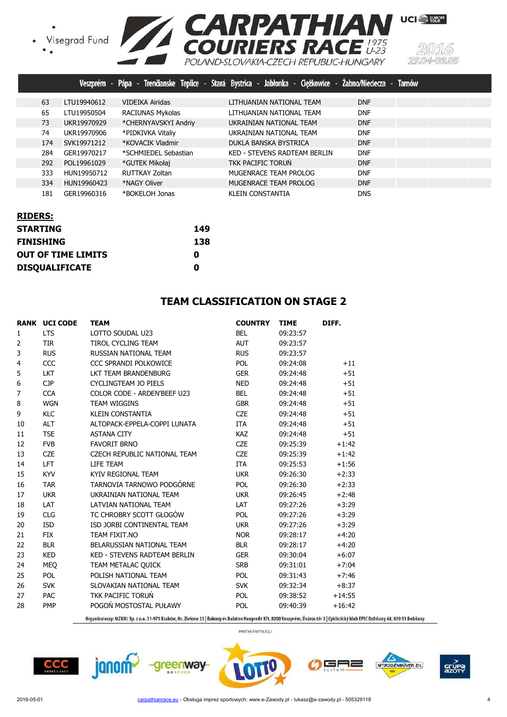• Visegrad Fund<br>• •



|     |             |                         | Veszprém - Pápa - Trenčianske Teplice - Stará Bystrica - Jabłonka - Ciężkowice - Żabno/Nieciecza - Tamów |            |
|-----|-------------|-------------------------|----------------------------------------------------------------------------------------------------------|------------|
| 63  | LTU19940612 | <b>VIDEIKA Airidas</b>  | LITHUANIAN NATIONAL TEAM                                                                                 | <b>DNF</b> |
| 65  | LTU19950504 | <b>RACIUNAS Mykolas</b> | LITHUANIAN NATIONAL TEAM                                                                                 | <b>DNF</b> |
| 73  | UKR19970929 | *CHERNYAVSKYI Andriy    | UKRAINIAN NATIONAL TEAM                                                                                  | <b>DNF</b> |
| 74  | UKR19970906 | *PIDKIVKA Vitaliy       | UKRAINIAN NATIONAL TEAM                                                                                  | <b>DNF</b> |
| 174 | SVK19971212 | *KOVACIK Vladmir        | DUKLA BANSKA BYSTRICA                                                                                    | <b>DNF</b> |
| 284 | GER19970217 | *SCHMIEDEL Sebastian    | KED - STEVENS RADTEAM BERLIN                                                                             | <b>DNF</b> |
| 292 | POL19961029 | *GUTEK Mikołaj          | TKK PACIFIC TORUN                                                                                        | <b>DNF</b> |
| 333 | HUN19950712 | RUTTKAY Zoltan          | MUGENRACE TEAM PROLOG                                                                                    | <b>DNF</b> |
| 334 | HUN19960423 | *NAGY Oliver            | MUGENRACE TEAM PROLOG                                                                                    | <b>DNF</b> |
| 181 | GER19960316 | *BOKELOH Jonas          | KLEIN CONSTANTIA                                                                                         | <b>DNS</b> |

| <b>RIDERS:</b>            |     |
|---------------------------|-----|
| <b>STARTING</b>           | 149 |
| <b>FINISHING</b>          | 138 |
| <b>OUT OF TIME LIMITS</b> | 0   |
| <b>DISQUALIFICATE</b>     | Ω   |

#### **TEAM CLASSIFICATION ON STAGE 2**

|              | <b>RANK UCI CODE</b> | <b>TEAM</b>                         | <b>COUNTRY</b> | <b>TIME</b> | DIFF.    |
|--------------|----------------------|-------------------------------------|----------------|-------------|----------|
| $\mathbf{1}$ | <b>LTS</b>           | LOTTO SOUDAL U23                    | <b>BEL</b>     | 09:23:57    |          |
| 2            | <b>TIR</b>           | TIROL CYCLING TEAM                  | <b>AUT</b>     | 09:23:57    |          |
| 3            | <b>RUS</b>           | RUSSIAN NATIONAL TEAM               | <b>RUS</b>     | 09:23:57    |          |
| 4            | CCC                  | CCC SPRANDI POLKOWICE               | <b>POL</b>     | 09:24:08    | $+11$    |
| 5            | <b>LKT</b>           | LKT TEAM BRANDENBURG                | <b>GER</b>     | 09:24:48    | $+51$    |
| 6            | <b>CJP</b>           | <b>CYCLINGTEAM JO PIELS</b>         | <b>NED</b>     | 09:24:48    | $+51$    |
| 7            | <b>CCA</b>           | COLOR CODE - ARDEN'BEEF U23         | <b>BEL</b>     | 09:24:48    | $+51$    |
| 8            | <b>WGN</b>           | <b>TEAM WIGGINS</b>                 | <b>GBR</b>     | 09:24:48    | $+51$    |
| 9            | KLC                  | <b>KLEIN CONSTANTIA</b>             | <b>CZE</b>     | 09:24:48    | $+51$    |
| 10           | <b>ALT</b>           | ALTOPACK-EPPELA-COPPI LUNATA        | <b>ITA</b>     | 09:24:48    | $+51$    |
| 11           | <b>TSE</b>           | <b>ASTANA CITY</b>                  | <b>KAZ</b>     | 09:24:48    | $+51$    |
| 12           | <b>FVB</b>           | <b>FAVORIT BRNO</b>                 | <b>CZE</b>     | 09:25:39    | $+1:42$  |
| 13           | <b>CZE</b>           | <b>CZECH REPUBLIC NATIONAL TEAM</b> | <b>CZE</b>     | 09:25:39    | $+1:42$  |
| 14           | <b>LFT</b>           | LIFE TEAM                           | <b>ITA</b>     | 09:25:53    | $+1:56$  |
| 15           | <b>KYV</b>           | KYIV REGIONAL TEAM                  | <b>UKR</b>     | 09:26:30    | $+2:33$  |
| 16           | <b>TAR</b>           | TARNOVIA TARNOWO PODGÓRNE           | <b>POL</b>     | 09:26:30    | $+2:33$  |
| 17           | <b>UKR</b>           | UKRAINIAN NATIONAL TEAM             | <b>UKR</b>     | 09:26:45    | $+2:48$  |
| 18           | LAT                  | LATVIAN NATIONAL TEAM               | LAT            | 09:27:26    | $+3:29$  |
| 19           | <b>CLG</b>           | TC CHROBRY SCOTT GŁOGÓW             | POL            | 09:27:26    | $+3:29$  |
| 20           | <b>ISD</b>           | ISD JORBI CONTINENTAL TEAM          | <b>UKR</b>     | 09:27:26    | $+3:29$  |
| 21           | <b>FIX</b>           | TEAM FIXIT.NO                       | <b>NOR</b>     | 09:28:17    | $+4:20$  |
| 22           | <b>BLR</b>           | BELARUSSIAN NATIONAL TEAM           | <b>BLR</b>     | 09:28:17    | $+4:20$  |
| 23           | <b>KED</b>           | KED - STEVENS RADTEAM BERLIN        | <b>GER</b>     | 09:30:04    | $+6:07$  |
| 24           | MEQ                  | TEAM METALAC QUICK                  | <b>SRB</b>     | 09:31:01    | $+7:04$  |
| 25           | <b>POL</b>           | POLISH NATIONAL TEAM                | <b>POL</b>     | 09:31:43    | $+7:46$  |
| 26           | <b>SVK</b>           | SLOVAKIAN NATIONAL TEAM             | <b>SVK</b>     | 09:32:34    | $+8:37$  |
| 27           | <b>PAC</b>           | TKK PACIFIC TORUŃ                   | <b>POL</b>     | 09:38:52    | $+14:55$ |
| 28           | <b>PMP</b>           | POGOŃ MOSTOSTAL PUŁAWY              | <b>POL</b>     | 09:40:39    | $+16:42$ |
|              |                      |                                     |                |             |          |

Organizatorzy: MZKOL Sp. z o.o. 31-971 Kraków, Os. Zielone 25 | Bakony és Balaton Nonprofit Kft. 8200 Veszprém, Óváros tér 2 | Cyklistický klub EPIC Dohňany 68, 020 51 Dohňany

PARTNER WYŚCIGU

 $CCC$ 

janom<sup>2</sup>





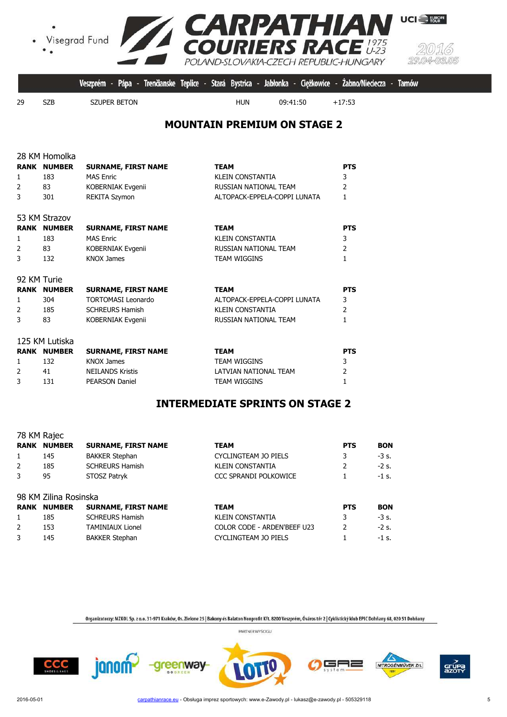

|     |     |              |  |            | Veszprém - Pápa - Trenčianske Teplice - Stará Bystrica - Jabłonka - Ciężkowice - Żabno/Nieciecza - Tarnów |          |  |
|-----|-----|--------------|--|------------|-----------------------------------------------------------------------------------------------------------|----------|--|
| -29 | S7B | SZUPER BETON |  | <b>HUN</b> | 09:41:50                                                                                                  | $+17:53$ |  |

#### **MOUNTAIN PREMIUM ON STAGE 2**

| RANK<br>$\mathbf{1}$<br>2<br>3        | 28 KM Homolka<br><b>NUMBER</b><br>183<br>83<br>301       | <b>SURNAME, FIRST NAME</b><br><b>MAS Fnric</b><br>KOBERNIAK Evgenii<br><b>REKITA Szymon</b>                   | <b>TEAM</b><br><b>KLEIN CONSTANTIA</b><br>RUSSIAN NATIONAL TEAM<br>ALTOPACK-EPPELA-COPPI LUNATA | <b>PTS</b><br>3<br>$\overline{2}$<br>1            |
|---------------------------------------|----------------------------------------------------------|---------------------------------------------------------------------------------------------------------------|-------------------------------------------------------------------------------------------------|---------------------------------------------------|
| <b>RANK</b><br>$\mathbf{1}$<br>2<br>3 | 53 KM Strazov<br><b>NUMBER</b><br>183<br>83<br>132       | <b>SURNAME, FIRST NAME</b><br><b>MAS Enric</b><br>KOBERNIAK Evgenii<br><b>KNOX James</b>                      | <b>TEAM</b><br><b>KLEIN CONSTANTIA</b><br>RUSSIAN NATIONAL TEAM<br><b>TEAM WIGGINS</b>          | <b>PTS</b><br>3<br>$\overline{2}$<br>1            |
| 92 KM Turie<br>$\mathbf{1}$<br>2<br>3 | <b>RANK NUMBER</b><br>304<br>185<br>83                   | <b>SURNAME, FIRST NAME</b><br><b>TORTOMASI Leonardo</b><br><b>SCHREURS Hamish</b><br><b>KOBERNIAK Evgenii</b> | <b>TEAM</b><br>ALTOPACK-EPPELA-COPPI LUNATA<br><b>KLEIN CONSTANTIA</b><br>RUSSIAN NATIONAL TEAM | <b>PTS</b><br>3<br>$\overline{2}$<br>$\mathbf{1}$ |
| $\mathbf{1}$<br>2<br>3                | 125 KM Lutiska<br><b>RANK NUMBER</b><br>132<br>41<br>131 | <b>SURNAME, FIRST NAME</b><br><b>KNOX James</b><br><b>NEILANDS Kristis</b><br><b>PEARSON Daniel</b>           | <b>TEAM</b><br><b>TEAM WIGGINS</b><br>LATVIAN NATIONAL TEAM<br><b>TEAM WIGGINS</b>              | <b>PTS</b><br>3<br>$\overline{2}$<br>$\mathbf{1}$ |

#### **INTERMEDIATE SPRINTS ON STAGE 2**

|   | <b>RANK NUMBER</b>    | <b>SURNAME, FIRST NAME</b> | <b>TEAM</b>                  | <b>PTS</b>    | <b>BON</b> |
|---|-----------------------|----------------------------|------------------------------|---------------|------------|
| 1 | 145                   | <b>BAKKER Stephan</b>      | CYCLINGTEAM JO PIELS         | 3             | $-3$ s.    |
| 2 | 185                   | <b>SCHREURS Hamish</b>     | <b>KLEIN CONSTANTIA</b>      |               | $-2$ s.    |
| 3 | 95                    | STOSZ Patryk               | <b>CCC SPRANDI POLKOWICE</b> |               | $-1$ s.    |
|   | 98 KM Zilina Rosinska |                            |                              |               |            |
|   | <b>RANK NUMBER</b>    | <b>SURNAME, FIRST NAME</b> | <b>TEAM</b>                  | <b>PTS</b>    | <b>BON</b> |
| 1 | 185                   | <b>SCHREURS Hamish</b>     | <b>KLEIN CONSTANTIA</b>      | 3.            | $-3s.$     |
| 2 | 153                   | <b>TAMINIAUX Lionel</b>    | COLOR CODE - ARDEN'BEEF U23  | $\mathcal{P}$ | $-2$ s.    |
| 3 | 145                   | <b>BAKKER Stephan</b>      | CYCLINGTEAM JO PIELS         |               | $-1$ s.    |

-greenway-

Organizatorzy: MZKOL Sp. z o.o. 31-971 Kraków, Os. Zielone 25 | Bakony és Balaton Nonprofit Kft. 8200 Veszprém, Óváros tér 2 | Cyklistický klub EPIC Dohňany 68, 020 51 Dohňany PARTNER WYŚCIGU



janom<sup>2</sup>

78 KM Rajec

╕═

NITROGÉNMŰVEK Zrt.

grue<br>azot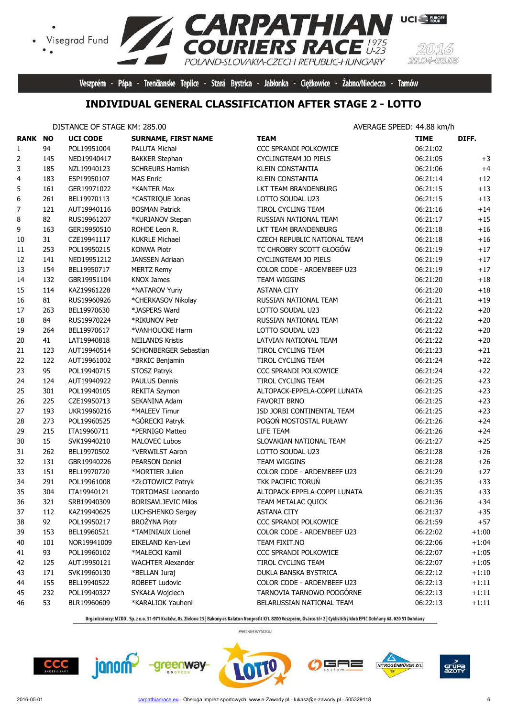

Veszprém - Pápa - Trenčianske Teplice - Stará Bystrica - Jabłonka - Ciężkowice - Żabno/Nieciecza - Tarnów

# **INDIVIDUAL GENERAL CLASSIFICATION AFTER STAGE 2 - LOTTO**

#### DISTANCE OF STAGE KM: 285.00 **AVERAGE SPEED: 44.88 km/h**

 $\bullet$ 

| <b>RANK NO</b> |     | <b>UCI CODE</b> | <b>SURNAME, FIRST NAME</b> | <b>TEAM</b>                  | <b>TIME</b> | DIFF.   |
|----------------|-----|-----------------|----------------------------|------------------------------|-------------|---------|
| 1              | 94  | POL19951004     | PALUTA Michał              | CCC SPRANDI POLKOWICE        | 06:21:02    |         |
| 2              | 145 | NED19940417     | <b>BAKKER Stephan</b>      | CYCLINGTEAM JO PIELS         | 06:21:05    | $+3$    |
| 3              | 185 | NZL19940123     | <b>SCHREURS Hamish</b>     | <b>KLEIN CONSTANTIA</b>      | 06:21:06    | $+4$    |
| 4              | 183 | ESP19950107     | <b>MAS Enric</b>           | KLEIN CONSTANTIA             | 06:21:14    | $+12$   |
| 5              | 161 | GER19971022     | *KANTER Max                | LKT TEAM BRANDENBURG         | 06:21:15    | $+13$   |
| 6              | 261 | BEL19970113     | *CASTRIQUE Jonas           | LOTTO SOUDAL U23             | 06:21:15    | $+13$   |
| 7              | 121 | AUT19940116     | <b>BOSMAN Patrick</b>      | TIROL CYCLING TEAM           | 06:21:16    | $+14$   |
| 8              | 82  | RUS19961207     | *KURIANOV Stepan           | RUSSIAN NATIONAL TEAM        | 06:21:17    | $+15$   |
| 9              | 163 | GER19950510     | ROHDE Leon R.              | LKT TEAM BRANDENBURG         | 06:21:18    | $+16$   |
| 10             | 31  | CZE19941117     | <b>KUKRLE Michael</b>      | CZECH REPUBLIC NATIONAL TEAM | 06:21:18    | $+16$   |
| 11             | 253 | POL19950215     | <b>KONWA Piotr</b>         | TC CHROBRY SCOTT GŁOGÓW      | 06:21:19    | $+17$   |
| 12             | 141 | NED19951212     | JANSSEN Adriaan            | CYCLINGTEAM JO PIELS         | 06:21:19    | $+17$   |
| 13             | 154 | BEL19950717     | <b>MERTZ Remy</b>          | COLOR CODE - ARDEN'BEEF U23  | 06:21:19    | $+17$   |
| 14             | 132 | GBR19951104     | <b>KNOX James</b>          | TEAM WIGGINS                 | 06:21:20    | $+18$   |
| 15             | 114 | KAZ19961228     | *NATAROV Yuriy             | <b>ASTANA CITY</b>           | 06:21:20    | $+18\,$ |
| 16             | 81  | RUS19960926     | *CHERKASOV Nikolay         | RUSSIAN NATIONAL TEAM        | 06:21:21    | $+19$   |
| 17             | 263 | BEL19970630     | *JASPERS Ward              | LOTTO SOUDAL U23             | 06:21:22    | $+20$   |
| 18             | 84  | RUS19970224     | *RIKUNOV Petr              | RUSSIAN NATIONAL TEAM        | 06:21:22    | $+20$   |
| 19             | 264 | BEL19970617     | *VANHOUCKE Harm            | LOTTO SOUDAL U23             | 06:21:22    | $+20$   |
| 20             | 41  | LAT19940818     | <b>NEILANDS Kristis</b>    | LATVIAN NATIONAL TEAM        | 06:21:22    | $+20$   |
| 21             | 123 | AUT19940514     | SCHONBERGER Sebastian      | TIROL CYCLING TEAM           | 06:21:23    | $+21$   |
| 22             | 122 | AUT19961002     | *BRKIC Benjamin            | TIROL CYCLING TEAM           | 06:21:24    | $+22$   |
| 23             | 95  | POL19940715     | STOSZ Patryk               | CCC SPRANDI POLKOWICE        | 06:21:24    | $+22$   |
| 24             | 124 | AUT19940922     | PAULUS Dennis              | TIROL CYCLING TEAM           | 06:21:25    | $+23$   |
| 25             | 301 | POL19940105     | REKITA Szymon              | ALTOPACK-EPPELA-COPPI LUNATA | 06:21:25    | $+23$   |
| 26             | 225 | CZE19950713     | SEKANINA Adam              | <b>FAVORIT BRNO</b>          | 06:21:25    | $+23$   |
| 27             | 193 | UKR19960216     | *MALEEV Timur              | ISD JORBI CONTINENTAL TEAM   | 06:21:25    | $+23$   |
| 28             | 273 | POL19960525     | *GÓRECKI Patryk            | POGOŃ MOSTOSTAL PUŁAWY       | 06:21:26    | $+24$   |
| 29             | 215 | ITA19960711     | *PERNIGO Matteo            | LIFE TEAM                    | 06:21:26    | $+24$   |
| 30             | 15  | SVK19940210     | <b>MALOVEC Lubos</b>       | SLOVAKIAN NATIONAL TEAM      | 06:21:27    | $+25$   |
| 31             | 262 | BEL19970502     | *VERWILST Aaron            | LOTTO SOUDAL U23             | 06:21:28    | $+26$   |
| 32             | 131 | GBR19940226     | <b>PEARSON Daniel</b>      | TEAM WIGGINS                 | 06:21:28    | $+26$   |
| 33             | 151 | BEL19970720     | *MORTIER Julien            | COLOR CODE - ARDEN'BEEF U23  | 06:21:29    | $+27$   |
| 34             | 291 | POL19961008     | *ZŁOTOWICZ Patryk          | TKK PACIFIC TORUŃ            | 06:21:35    | $+33$   |
| 35             | 304 | ITA19940121     | <b>TORTOMASI Leonardo</b>  | ALTOPACK-EPPELA-COPPI LUNATA | 06:21:35    | $+33$   |
| 36             | 321 | SRB19940309     | <b>BORISAVLJEVIC Milos</b> | TEAM METALAC QUICK           | 06:21:36    | $+34$   |
| 37             | 112 | KAZ19940625     | LUCHSHENKO Sergey          | ASTANA CITY                  | 06:21:37    | $+35$   |
| 38             | 92  | POL19950217     | <b>BROŻYNA Piotr</b>       | CCC SPRANDI POLKOWICE        | 06:21:59    | $+57$   |
| 39             | 153 | BEL19960521     | *TAMINIAUX Lionel          | COLOR CODE - ARDEN'BEEF U23  | 06:22:02    | $+1:00$ |
| 40             | 101 | NOR19941009     | EIKELAND Ken-Levi          | TEAM FIXIT.NO                | 06:22:06    | $+1:04$ |
| 41             | 93  | POL19960102     | *MAŁECKI Kamil             | CCC SPRANDI POLKOWICE        | 06:22:07    | $+1:05$ |
| 42             | 125 | AUT19950121     | <b>WACHTER Alexander</b>   | TIROL CYCLING TEAM           | 06:22:07    | $+1:05$ |
| 43             | 171 | SVK19960130     | *BELLAN Juraj              | DUKLA BANSKA BYSTRICA        | 06:22:12    | $+1:10$ |
| 44             | 155 | BEL19940522     | ROBEET Ludovic             | COLOR CODE - ARDEN'BEEF U23  | 06:22:13    | $+1:11$ |
| 45             | 232 | POL19940327     | SYKAŁA Wojciech            | TARNOVIA TARNOWO PODGÓRNE    | 06:22:13    | $+1:11$ |
| 46             | 53  | BLR19960609     | *KARALIOK Yauheni          | BELARUSSIAN NATIONAL TEAM    | 06:22:13    | $+1:11$ |

Organizatorzy: MZKOL Sp. z o.o. 31-971 Kraków, Os. Zielone 25 | Bakony és Balaton Nonprofit Kft. 8200 Veszprém, Óváros tér 2 | Cyklistický klub EPIC Dohňany 68, 020 51 Dohňany







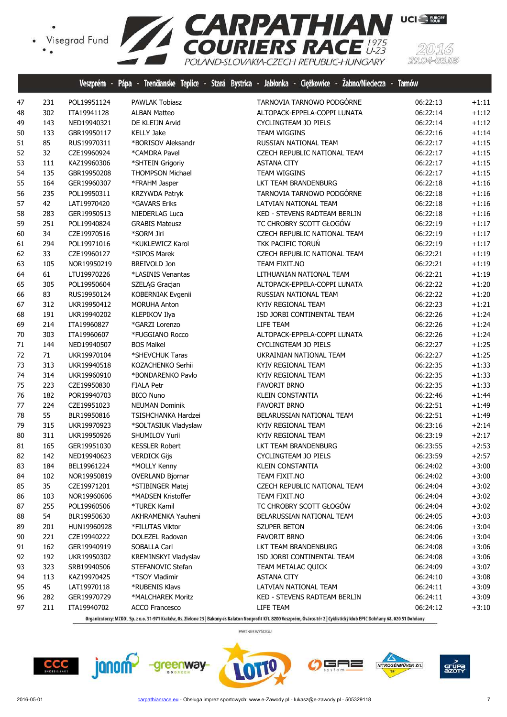

|    |     |             |                         | Veszprém - Pápa - Trenčianske Teplice - Stará Bystrica - Jabłonka - Ciężkowice - Zabno/Nieciecza - Tarnów |          |         |
|----|-----|-------------|-------------------------|-----------------------------------------------------------------------------------------------------------|----------|---------|
| 47 | 231 | POL19951124 | <b>PAWLAK Tobiasz</b>   | TARNOVIA TARNOWO PODGÓRNE                                                                                 | 06:22:13 | $+1:11$ |
| 48 | 302 | ITA19941128 | <b>ALBAN Matteo</b>     | ALTOPACK-EPPELA-COPPI LUNATA                                                                              | 06:22:14 | $+1:12$ |
| 49 | 143 | NED19940321 | DE KLEIJN Arvid         | CYCLINGTEAM JO PIELS                                                                                      | 06:22:14 | $+1:12$ |
| 50 | 133 | GBR19950117 | <b>KELLY Jake</b>       | TEAM WIGGINS                                                                                              | 06:22:16 | $+1:14$ |
| 51 | 85  | RUS19970311 | *BORISOV Aleksandr      | RUSSIAN NATIONAL TEAM                                                                                     | 06:22:17 | $+1:15$ |
| 52 | 32  | CZE19960924 | *CAMDRA Pavel           | CZECH REPUBLIC NATIONAL TEAM                                                                              | 06:22:17 | $+1:15$ |
| 53 | 111 | KAZ19960306 | *SHTEIN Grigoriy        | <b>ASTANA CITY</b>                                                                                        | 06:22:17 | $+1:15$ |
| 54 | 135 | GBR19950208 | <b>THOMPSON Michael</b> | TEAM WIGGINS                                                                                              | 06:22:17 | $+1:15$ |
| 55 | 164 | GER19960307 | *FRAHM Jasper           | LKT TEAM BRANDENBURG                                                                                      | 06:22:18 | $+1:16$ |
| 56 | 235 | POL19950311 | KRZYWDA Patryk          | TARNOVIA TARNOWO PODGÓRNE                                                                                 | 06:22:18 | $+1:16$ |
| 57 | 42  | LAT19970420 | *GAVARS Eriks           | LATVIAN NATIONAL TEAM                                                                                     | 06:22:18 | $+1:16$ |
| 58 | 283 | GER19950513 | NIEDERLAG Luca          | KED - STEVENS RADTEAM BERLIN                                                                              | 06:22:18 | $+1:16$ |
| 59 | 251 | POL19940824 | <b>GRABIS Mateusz</b>   | TC CHROBRY SCOTT GŁOGÓW                                                                                   | 06:22:19 | $+1:17$ |
| 60 | 34  | CZE19970516 | *SORM Jiri              | CZECH REPUBLIC NATIONAL TEAM                                                                              | 06:22:19 | $+1:17$ |
| 61 | 294 | POL19971016 | *KUKLEWICZ Karol        | TKK PACIFIC TORUŃ                                                                                         | 06:22:19 | $+1:17$ |
| 62 | 33  | CZE19960127 | *SIPOS Marek            | CZECH REPUBLIC NATIONAL TEAM                                                                              | 06:22:21 | $+1:19$ |
| 63 | 105 | NOR19950219 | BREIVOLD Jon            | TEAM FIXIT.NO                                                                                             | 06:22:21 | $+1:19$ |
| 64 | 61  | LTU19970226 | *LASINIS Venantas       | LITHUANIAN NATIONAL TEAM                                                                                  | 06:22:21 | $+1:19$ |
| 65 | 305 | POL19950604 | SZELĄG Gracjan          | ALTOPACK-EPPELA-COPPI LUNATA                                                                              | 06:22:22 | $+1:20$ |
| 66 | 83  | RUS19950124 | KOBERNIAK Evgenii       | RUSSIAN NATIONAL TEAM                                                                                     | 06:22:22 | $+1:20$ |
| 67 | 312 | UKR19950412 | <b>MORUHA Anton</b>     | KYIV REGIONAL TEAM                                                                                        | 06:22:23 | $+1:21$ |
| 68 | 191 | UKR19940202 | KLEPIKOV Ilya           | ISD JORBI CONTINENTAL TEAM                                                                                | 06:22:26 | $+1:24$ |
| 69 | 214 | ITA19960827 | *GARZI Lorenzo          | LIFE TEAM                                                                                                 | 06:22:26 | $+1:24$ |
| 70 | 303 | ITA19960607 | *FUGGIANO Rocco         | ALTOPACK-EPPELA-COPPI LUNATA                                                                              | 06:22:26 | $+1:24$ |
| 71 | 144 | NED19940507 | <b>BOS Maikel</b>       | CYCLINGTEAM JO PIELS                                                                                      | 06:22:27 | $+1:25$ |
| 72 | 71  | UKR19970104 | *SHEVCHUK Taras         | UKRAINIAN NATIONAL TEAM                                                                                   | 06:22:27 | $+1:25$ |
| 73 | 313 | UKR19940518 | KOZACHENKO Serhii       | KYIV REGIONAL TEAM                                                                                        | 06:22:35 | $+1:33$ |
| 74 | 314 | UKR19960910 | *BONDARENKO Pavlo       | KYIV REGIONAL TEAM                                                                                        | 06:22:35 | $+1:33$ |
| 75 | 223 | CZE19950830 | <b>FIALA Petr</b>       | <b>FAVORIT BRNO</b>                                                                                       | 06:22:35 | $+1:33$ |
| 76 | 182 | POR19940703 | <b>BICO Nuno</b>        | <b>KLEIN CONSTANTIA</b>                                                                                   | 06:22:46 | $+1:44$ |
| 77 | 224 | CZE19951023 | <b>NEUMAN Dominik</b>   | <b>FAVORIT BRNO</b>                                                                                       | 06:22:51 | $+1:49$ |
| 78 | 55  | BLR19950816 | TSISHCHANKA Hardzei     | BELARUSSIAN NATIONAL TEAM                                                                                 | 06:22:51 | $+1:49$ |
| 79 | 315 | UKR19970923 | *SOLTASIUK Vladyslaw    | KYIV REGIONAL TEAM                                                                                        | 06:23:16 | $+2:14$ |
| 80 | 311 | UKR19950926 | SHUMILOV Yurii          | KYIV REGIONAL TEAM                                                                                        | 06:23:19 | $+2:17$ |
| 81 | 165 | GER19951030 | <b>KESSLER Robert</b>   | LKT TEAM BRANDENBURG                                                                                      | 06:23:55 | $+2:53$ |
| 82 | 142 | NED19940623 | <b>VERDICK Gijs</b>     | <b>CYCLINGTEAM JO PIELS</b>                                                                               | 06:23:59 | $+2:57$ |
| 83 | 184 | BEL19961224 | *MOLLY Kenny            | KLEIN CONSTANTIA                                                                                          | 06:24:02 | $+3:00$ |
| 84 | 102 | NOR19950819 | <b>OVERLAND Bjornar</b> | TEAM FIXIT.NO                                                                                             | 06:24:02 | $+3:00$ |
| 85 | 35  | CZE19971201 | *STIBINGER Matej        | CZECH REPUBLIC NATIONAL TEAM                                                                              | 06:24:04 | $+3:02$ |
| 86 | 103 | NOR19960606 | *MADSEN Kristoffer      | TEAM FIXIT.NO                                                                                             | 06:24:04 | $+3:02$ |
| 87 | 255 | POL19960506 | *TUREK Kamil            | TC CHROBRY SCOTT GŁOGÓW                                                                                   | 06:24:04 | $+3:02$ |
| 88 | 54  | BLR19950630 | AKHRAMENKA Yauheni      | BELARUSSIAN NATIONAL TEAM                                                                                 | 06:24:05 | $+3:03$ |
| 89 | 201 | HUN19960928 | *FILUTAS Viktor         | SZUPER BETON                                                                                              | 06:24:06 | $+3:04$ |
| 90 | 221 | CZE19940222 | DOLEZEL Radovan         | <b>FAVORIT BRNO</b>                                                                                       | 06:24:06 | $+3:04$ |
| 91 | 162 | GER19940919 | SOBALLA Carl            | LKT TEAM BRANDENBURG                                                                                      | 06:24:08 | $+3:06$ |
| 92 | 192 | UKR19950302 | KREMINSKYI Vladyslav    | ISD JORBI CONTINENTAL TEAM                                                                                | 06:24:08 | $+3:06$ |
| 93 | 323 | SRB19940506 | STEFANOVIC Stefan       | TEAM METALAC QUICK                                                                                        | 06:24:09 | $+3:07$ |
| 94 | 113 | KAZ19970425 | *TSOY Vladimir          | <b>ASTANA CITY</b>                                                                                        | 06:24:10 | $+3:08$ |
| 95 | 45  | LAT19970118 | *RUBENIS Klavs          | LATVIAN NATIONAL TEAM                                                                                     | 06:24:11 | $+3:09$ |
| 96 | 282 | GER19970729 | *MALCHAREK Moritz       | KED - STEVENS RADTEAM BERLIN                                                                              | 06:24:11 | $+3:09$ |
| 97 | 211 | ITA19940702 | <b>ACCO Francesco</b>   | LIFE TEAM                                                                                                 | 06:24:12 | $+3:10$ |
|    |     |             |                         |                                                                                                           |          |         |

Organizatorzy: MZKOL Sp. z o.o. 31-971 Kraków, Os. Zielone 25 | Bakony és Balaton Nonprofit Kft. 8200 Veszprém, Óváros tér 2 | Cyklistický klub EPIC Dohňany 68, 020 51 Dohňany

PARTNER WYŚCIGU











(5)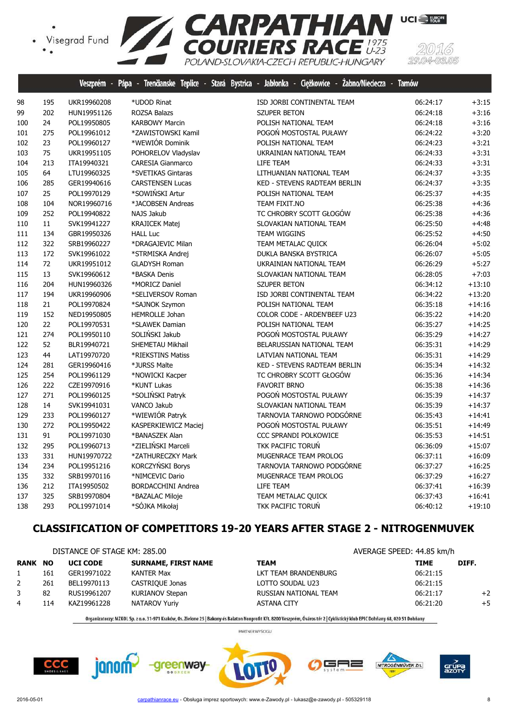

|     |     |             |                           | Veszprem - Papa - Irenganske leplice - Stara Bystrica - Jabłonka - Cięzkowice - Zabno/Niegecza - lamow |          |          |
|-----|-----|-------------|---------------------------|--------------------------------------------------------------------------------------------------------|----------|----------|
| 98  | 195 | UKR19960208 | *UDOD Rinat               | ISD JORBI CONTINENTAL TEAM                                                                             | 06:24:17 | $+3:15$  |
| 99  | 202 | HUN19951126 | ROZSA Balazs              | <b>SZUPER BETON</b>                                                                                    | 06:24:18 | $+3:16$  |
| 100 | 24  | POL19950805 | <b>KARBOWY Marcin</b>     | POLISH NATIONAL TEAM                                                                                   | 06:24:18 | $+3:16$  |
| 101 | 275 | POL19961012 | *ZAWISTOWSKI Kamil        | POGOŃ MOSTOSTAL PUŁAWY                                                                                 | 06:24:22 | $+3:20$  |
| 102 | 23  | POL19960127 | *WEWIÓR Dominik           | POLISH NATIONAL TEAM                                                                                   | 06:24:23 | $+3:21$  |
| 103 | 75  | UKR19951105 | POHORELOV Vladyslav       | UKRAINIAN NATIONAL TEAM                                                                                | 06:24:33 | $+3:31$  |
| 104 | 213 | ITA19940321 | <b>CARESIA Gianmarco</b>  | LIFE TEAM                                                                                              | 06:24:33 | $+3:31$  |
| 105 | 64  | LTU19960325 | *SVETIKAS Gintaras        | LITHUANIAN NATIONAL TEAM                                                                               | 06:24:37 | $+3:35$  |
| 106 | 285 | GER19940616 | <b>CARSTENSEN Lucas</b>   | KED - STEVENS RADTEAM BERLIN                                                                           | 06:24:37 | $+3:35$  |
| 107 | 25  | POL19970129 | *SOWIŃSKI Artur           | POLISH NATIONAL TEAM                                                                                   | 06:25:37 | $+4:35$  |
| 108 | 104 | NOR19960716 | *JACOBSEN Andreas         | TEAM FIXIT.NO                                                                                          | 06:25:38 | $+4:36$  |
| 109 | 252 | POL19940822 | NAJS Jakub                | TC CHROBRY SCOTT GŁOGÓW                                                                                | 06:25:38 | $+4:36$  |
| 110 | 11  | SVK19941227 | <b>KRAJICEK Matej</b>     | SLOVAKIAN NATIONAL TEAM                                                                                | 06:25:50 | $+4:48$  |
| 111 | 134 | GBR19950326 | <b>HALL Luc</b>           | <b>TEAM WIGGINS</b>                                                                                    | 06:25:52 | $+4:50$  |
| 112 | 322 | SRB19960227 | *DRAGAJEVIC Milan         | TEAM METALAC QUICK                                                                                     | 06:26:04 | $+5:02$  |
| 113 | 172 | SVK19961022 | *STRMISKA Andrej          | DUKLA BANSKA BYSTRICA                                                                                  | 06:26:07 | $+5:05$  |
| 114 | 72  | UKR19951012 | <b>GLADYSH Roman</b>      | UKRAINIAN NATIONAL TEAM                                                                                | 06:26:29 | $+5:27$  |
| 115 | 13  | SVK19960612 | *BASKA Denis              | SLOVAKIAN NATIONAL TEAM                                                                                | 06:28:05 | $+7:03$  |
| 116 | 204 | HUN19960326 | *MORICZ Daniel            | <b>SZUPER BETON</b>                                                                                    | 06:34:12 | $+13:10$ |
| 117 | 194 | UKR19960906 | *SELIVERSOV Roman         | ISD JORBI CONTINENTAL TEAM                                                                             | 06:34:22 | $+13:20$ |
| 118 | 21  | POL19970824 | *SAJNOK Szymon            | POLISH NATIONAL TEAM                                                                                   | 06:35:18 | $+14:16$ |
| 119 | 152 | NED19950805 | HEMROLLE Johan            | COLOR CODE - ARDEN'BEEF U23                                                                            | 06:35:22 | $+14:20$ |
| 120 | 22  | POL19970531 | *SLAWEK Damian            | POLISH NATIONAL TEAM                                                                                   | 06:35:27 | $+14:25$ |
| 121 | 274 | POL19950110 | SOLIŃSKI Jakub            | POGOŃ MOSTOSTAL PUŁAWY                                                                                 | 06:35:29 | $+14:27$ |
| 122 | 52  | BLR19940721 | SHEMETAU Mikhail          | BELARUSSIAN NATIONAL TEAM                                                                              | 06:35:31 | $+14:29$ |
| 123 | 44  | LAT19970720 | *RIEKSTINS Matiss         | LATVIAN NATIONAL TEAM                                                                                  | 06:35:31 | $+14:29$ |
| 124 | 281 | GER19960416 | *JURSS Malte              | <b>KED - STEVENS RADTEAM BERLIN</b>                                                                    | 06:35:34 | $+14:32$ |
| 125 | 254 | POL19961129 | *NOWICKI Kacper           | TC CHROBRY SCOTT GŁOGÓW                                                                                | 06:35:36 | $+14:34$ |
| 126 | 222 | CZE19970916 | *KUNT Lukas               | <b>FAVORIT BRNO</b>                                                                                    | 06:35:38 | $+14:36$ |
| 127 | 271 | POL19960125 | *SOLIŃSKI Patryk          | POGOŃ MOSTOSTAL PUŁAWY                                                                                 | 06:35:39 | $+14:37$ |
| 128 | 14  | SVK19941031 | VANCO Jakub               | SLOVAKIAN NATIONAL TEAM                                                                                | 06:35:39 | $+14:37$ |
| 129 | 233 | POL19960127 | *WIEWIÓR Patryk           | TARNOVIA TARNOWO PODGÓRNE                                                                              | 06:35:43 | $+14:41$ |
| 130 | 272 | POL19950422 | KASPERKIEWICZ Maciej      | POGOŃ MOSTOSTAL PUŁAWY                                                                                 | 06:35:51 | $+14:49$ |
| 131 | 91  | POL19971030 | *BANASZEK Alan            | <b>CCC SPRANDI POLKOWICE</b>                                                                           | 06:35:53 | $+14:51$ |
| 132 | 295 | POL19960713 | *ZIELIŃSKI Marceli        | TKK PACIFIC TORUŃ                                                                                      | 06:36:09 | $+15:07$ |
| 133 | 331 | HUN19970722 | *ZATHURECZKY Mark         | MUGENRACE TEAM PROLOG                                                                                  | 06:37:11 | $+16:09$ |
| 134 | 234 | POL19951216 | KORCZYŃSKI Borys          | TARNOVIA TARNOWO PODGÓRNE                                                                              | 06:37:27 | $+16:25$ |
| 135 | 332 | SRB19970116 | *NIMCEVIC Dario           | MUGENRACE TEAM PROLOG                                                                                  | 06:37:29 | $+16:27$ |
| 136 | 212 | ITA19950502 | <b>BORDACCHINI Andrea</b> | LIFE TEAM                                                                                              | 06:37:41 | $+16:39$ |
| 137 | 325 | SRB19970804 | *BAZALAC Miloje           | TEAM METALAC QUICK                                                                                     | 06:37:43 | $+16:41$ |
| 138 | 293 | POL19971014 | *SÓJKA Mikołaj            | TKK PACIFIC TORUŃ                                                                                      | 06:40:12 | $+19:10$ |

## **CLASSIFICATION OF COMPETITORS 19-20 YEARS AFTER STAGE 2 - NITROGENMUVEK**

|                |     | DISTANCE OF STAGE KM: 285.00 |                            | AVERAGE SPEED: 44.85 km/h |             |       |
|----------------|-----|------------------------------|----------------------------|---------------------------|-------------|-------|
| <b>RANK NO</b> |     | <b>UCI CODE</b>              | <b>SURNAME, FIRST NAME</b> | <b>TEAM</b>               | <b>TIME</b> | DIFF. |
|                | 161 | GER19971022                  | KANTER Max                 | LKT TEAM BRANDENBURG      | 06:21:15    |       |
| $\mathbf{2}$   | 261 | BEL19970113                  | CASTRIQUE Jonas            | LOTTO SOUDAL U23          | 06:21:15    |       |
|                | 82  | RUS19961207                  | <b>KURIANOV Stepan</b>     | RUSSIAN NATIONAL TEAM     | 06:21:17    | $+2$  |
| 4              | 114 | KAZ19961228                  | NATAROV Yuriy              | ASTANA CITY               | 06:21:20    | $+5$  |

Organizatorzy: MZKOL Sp. z o.o. 31-971 Kraków, Os. Zielone 25 | Bakony és Balaton Nonprofit Kft. 8200 Veszprém, Óváros tér 2 | Cyklistický klub EPIC Dohňany 68, 020 51 Dohňany

PARTNER WYŚCIGU

╕═

NITROGÉNMŰVEK Zrt.

 $CCC$ 

janom<sup>2</sup>



grúF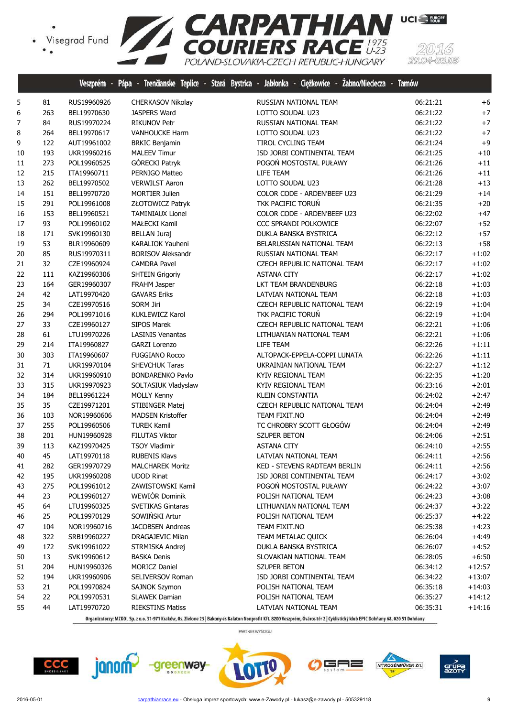

|    |     | Veszprem - Pápa |                          | - Trendanske Teplice - Stara Bystrica - Jabłonka - Cięzkowice - Zabno/Niedecza - Tarnow |          |          |
|----|-----|-----------------|--------------------------|-----------------------------------------------------------------------------------------|----------|----------|
| 5  | 81  | RUS19960926     | CHERKASOV Nikolay        | RUSSIAN NATIONAL TEAM                                                                   | 06:21:21 | $+6$     |
| 6  | 263 | BEL19970630     | <b>JASPERS Ward</b>      | LOTTO SOUDAL U23                                                                        | 06:21:22 | $+7$     |
| 7  | 84  | RUS19970224     | <b>RIKUNOV Petr</b>      | RUSSIAN NATIONAL TEAM                                                                   | 06:21:22 | $+7$     |
| 8  | 264 | BEL19970617     | VANHOUCKE Harm           | LOTTO SOUDAL U23                                                                        | 06:21:22 | $+7$     |
| 9  | 122 | AUT19961002     | <b>BRKIC Benjamin</b>    | TIROL CYCLING TEAM                                                                      | 06:21:24 | $+9$     |
| 10 | 193 | UKR19960216     | <b>MALEEV Timur</b>      | ISD JORBI CONTINENTAL TEAM                                                              | 06:21:25 | $+10$    |
| 11 | 273 | POL19960525     | GÓRECKI Patryk           | POGOŃ MOSTOSTAL PUŁAWY                                                                  | 06:21:26 | $+11$    |
| 12 | 215 | ITA19960711     | PERNIGO Matteo           | LIFE TEAM                                                                               | 06:21:26 | $+11$    |
| 13 | 262 | BEL19970502     | <b>VERWILST Aaron</b>    | LOTTO SOUDAL U23                                                                        | 06:21:28 | $+13$    |
| 14 | 151 | BEL19970720     | <b>MORTIER Julien</b>    | COLOR CODE - ARDEN'BEEF U23                                                             | 06:21:29 | $+14$    |
| 15 | 291 | POL19961008     | ZŁOTOWICZ Patryk         | TKK PACIFIC TORUŃ                                                                       | 06:21:35 | $+20$    |
| 16 | 153 | BEL19960521     | <b>TAMINIAUX Lionel</b>  | COLOR CODE - ARDEN'BEEF U23                                                             | 06:22:02 | $+47$    |
| 17 | 93  | POL19960102     | MAŁECKI Kamil            | CCC SPRANDI POLKOWICE                                                                   | 06:22:07 | $+52$    |
| 18 | 171 | SVK19960130     | <b>BELLAN Juraj</b>      | DUKLA BANSKA BYSTRICA                                                                   | 06:22:12 | $+57$    |
| 19 | 53  | BLR19960609     | KARALIOK Yauheni         | BELARUSSIAN NATIONAL TEAM                                                               | 06:22:13 | $+58$    |
| 20 | 85  | RUS19970311     | <b>BORISOV Aleksandr</b> | RUSSIAN NATIONAL TEAM                                                                   | 06:22:17 | $+1:02$  |
| 21 | 32  | CZE19960924     | <b>CAMDRA Pavel</b>      | CZECH REPUBLIC NATIONAL TEAM                                                            | 06:22:17 | $+1:02$  |
| 22 | 111 | KAZ19960306     | <b>SHTEIN Grigoriy</b>   | <b>ASTANA CITY</b>                                                                      | 06:22:17 | $+1:02$  |
| 23 | 164 | GER19960307     | FRAHM Jasper             | LKT TEAM BRANDENBURG                                                                    | 06:22:18 | $+1:03$  |
| 24 | 42  | LAT19970420     | <b>GAVARS Eriks</b>      | LATVIAN NATIONAL TEAM                                                                   | 06:22:18 | $+1:03$  |
| 25 | 34  | CZE19970516     | SORM Jiri                | CZECH REPUBLIC NATIONAL TEAM                                                            | 06:22:19 | $+1:04$  |
| 26 | 294 | POL19971016     | <b>KUKLEWICZ Karol</b>   | TKK PACIFIC TORUŃ                                                                       | 06:22:19 | $+1:04$  |
| 27 | 33  | CZE19960127     | SIPOS Marek              | CZECH REPUBLIC NATIONAL TEAM                                                            | 06:22:21 | $+1:06$  |
| 28 | 61  | LTU19970226     | <b>LASINIS Venantas</b>  | LITHUANIAN NATIONAL TEAM                                                                | 06:22:21 | $+1:06$  |
| 29 | 214 | ITA19960827     | <b>GARZI Lorenzo</b>     | LIFE TEAM                                                                               | 06:22:26 | $+1:11$  |
| 30 | 303 | ITA19960607     | <b>FUGGIANO Rocco</b>    | ALTOPACK-EPPELA-COPPI LUNATA                                                            | 06:22:26 | $+1:11$  |
| 31 | 71  | UKR19970104     | SHEVCHUK Taras           | UKRAINIAN NATIONAL TEAM                                                                 | 06:22:27 | $+1:12$  |
| 32 | 314 | UKR19960910     | <b>BONDARENKO Pavlo</b>  | KYIV REGIONAL TEAM                                                                      | 06:22:35 | $+1:20$  |
| 33 | 315 | UKR19970923     | SOLTASIUK Vladyslaw      | KYIV REGIONAL TEAM                                                                      | 06:23:16 | $+2:01$  |
| 34 | 184 | BEL19961224     | <b>MOLLY Kenny</b>       | <b>KLEIN CONSTANTIA</b>                                                                 | 06:24:02 | $+2:47$  |
| 35 | 35  | CZE19971201     | STIBINGER Matej          | CZECH REPUBLIC NATIONAL TEAM                                                            | 06:24:04 | $+2:49$  |
| 36 | 103 | NOR19960606     | <b>MADSEN Kristoffer</b> | TEAM FIXIT.NO                                                                           | 06:24:04 | $+2:49$  |
| 37 | 255 | POL19960506     | <b>TUREK Kamil</b>       | TC CHROBRY SCOTT GŁOGÓW                                                                 | 06:24:04 | $+2:49$  |
| 38 | 201 | HUN19960928     | <b>FILUTAS Viktor</b>    | SZUPER BETON                                                                            | 06:24:06 | $+2:51$  |
| 39 | 113 | KAZ19970425     | <b>TSOY Vladimir</b>     | <b>ASTANA CITY</b>                                                                      | 06:24:10 | $+2:55$  |
| 40 | 45  | LAT19970118     | <b>RUBENIS Klavs</b>     | LATVIAN NATIONAL TEAM                                                                   | 06:24:11 | $+2:56$  |
| 41 | 282 | GER19970729     | <b>MALCHAREK Moritz</b>  | KED - STEVENS RADTEAM BERLIN                                                            | 06:24:11 | $+2:56$  |
| 42 | 195 | UKR19960208     | <b>UDOD Rinat</b>        | ISD JORBI CONTINENTAL TEAM                                                              | 06:24:17 | $+3:02$  |
| 43 | 275 | POL19961012     | ZAWISTOWSKI Kamil        | POGOŃ MOSTOSTAL PUŁAWY                                                                  | 06:24:22 | $+3:07$  |
| 44 | 23  | POL19960127     | <b>WEWIÓR Dominik</b>    | POLISH NATIONAL TEAM                                                                    | 06:24:23 | $+3:08$  |
| 45 | 64  | LTU19960325     | <b>SVETIKAS Gintaras</b> | LITHUANIAN NATIONAL TEAM                                                                | 06:24:37 | $+3:22$  |
| 46 | 25  | POL19970129     | SOWIŃSKI Artur           | POLISH NATIONAL TEAM                                                                    | 06:25:37 | $+4:22$  |
| 47 | 104 | NOR19960716     | <b>JACOBSEN Andreas</b>  | TEAM FIXIT.NO                                                                           | 06:25:38 | $+4:23$  |
| 48 | 322 | SRB19960227     | DRAGAJEVIC Milan         | TEAM METALAC QUICK                                                                      | 06:26:04 | $+4:49$  |
| 49 | 172 | SVK19961022     | STRMISKA Andrej          | DUKLA BANSKA BYSTRICA                                                                   | 06:26:07 | $+4:52$  |
| 50 | 13  | SVK19960612     | <b>BASKA Denis</b>       | SLOVAKIAN NATIONAL TEAM                                                                 | 06:28:05 | $+6:50$  |
| 51 | 204 | HUN19960326     | <b>MORICZ Daniel</b>     | SZUPER BETON                                                                            | 06:34:12 | +12:57   |
| 52 | 194 | UKR19960906     | SELIVERSOV Roman         | ISD JORBI CONTINENTAL TEAM                                                              | 06:34:22 | $+13:07$ |
| 53 | 21  | POL19970824     | <b>SAJNOK Szymon</b>     | POLISH NATIONAL TEAM                                                                    | 06:35:18 | $+14:03$ |
| 54 | 22  | POL19970531     | <b>SLAWEK Damian</b>     | POLISH NATIONAL TEAM                                                                    | 06:35:27 | $+14:12$ |
| 55 | 44  |                 |                          | LATVIAN NATIONAL TEAM                                                                   |          |          |
|    |     | LAT19970720     | <b>RIEKSTINS Matiss</b>  |                                                                                         | 06:35:31 | $+14:16$ |

Organizatorzy: MZKOL Sp. z o.o. 31-971 Kraków, Os. Zielone 25 | Bakony és Balaton Nonprofit Kft. 8200 Veszprém, Óváros tér 2 | Cyklistický klub EPIC Dohňany 68, 020 51 Dohňany

PARTNER WYŚCIGU











(5)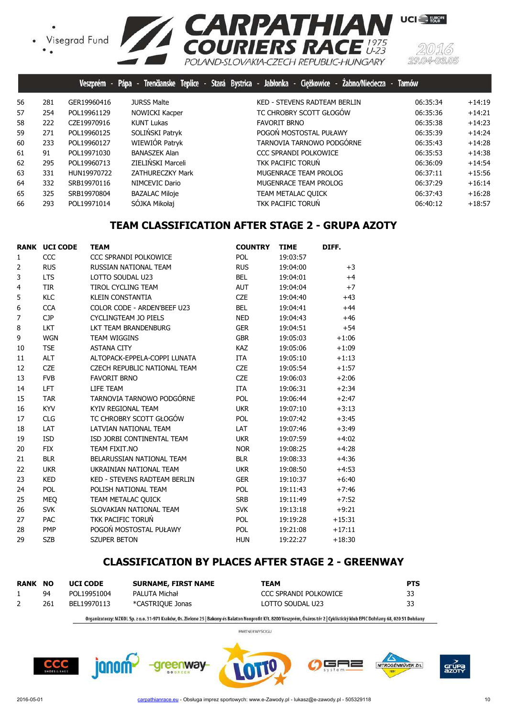• Visegrad Fund<br>• •



|    |     | Veszprém -  |                         | Pápa - Trenčianske Teplice - Stará Bystrica - Jabłonka - Ciężkowice - Zabno/Nieciecza - | <b>Tarnów</b> |          |
|----|-----|-------------|-------------------------|-----------------------------------------------------------------------------------------|---------------|----------|
| 56 | 281 | GER19960416 | <b>JURSS Malte</b>      | KED - STEVENS RADTEAM BERLIN                                                            | 06:35:34      | $+14:19$ |
| 57 | 254 | POL19961129 | NOWICKI Kacper          | TC CHROBRY SCOTT GŁOGÓW                                                                 | 06:35:36      | $+14:21$ |
| 58 | 222 | CZE19970916 | <b>KUNT Lukas</b>       | <b>FAVORIT BRNO</b>                                                                     | 06:35:38      | $+14:23$ |
| 59 | 271 | POL19960125 | SOLIŃSKI Patryk         | POGOŃ MOSTOSTAL PUŁAWY                                                                  | 06:35:39      | $+14:24$ |
| 60 | 233 | POL19960127 | WIEWIÓR Patryk          | TARNOVIA TARNOWO PODGÓRNE                                                               | 06:35:43      | $+14:28$ |
| 61 | 91  | POL19971030 | BANASZEK Alan           | CCC SPRANDI POLKOWICE                                                                   | 06:35:53      | $+14:38$ |
| 62 | 295 | POL19960713 | ZIELIŃSKI Marceli       | <b>TKK PACIFIC TORUN</b>                                                                | 06:36:09      | $+14:54$ |
| 63 | 331 | HUN19970722 | <b>ZATHURECZKY Mark</b> | MUGENRACE TEAM PROLOG                                                                   | 06:37:11      | $+15:56$ |
| 64 | 332 | SRB19970116 | NIMCEVIC Dario          | MUGENRACE TEAM PROLOG                                                                   | 06:37:29      | $+16:14$ |
| 65 | 325 | SRB19970804 | <b>BAZALAC Miloje</b>   | TEAM METALAC QUICK                                                                      | 06:37:43      | $+16:28$ |
| 66 | 293 | POL19971014 | SÓJKA Mikołaj           | TKK PACIFIC TORUN                                                                       | 06:40:12      | $+18:57$ |

## **TEAM CLASSIFICATION AFTER STAGE 2 - GRUPA AZOTY**

|                | <b>RANK UCI CODE</b> | <b>TEAM</b>                         | <b>COUNTRY</b> | <b>TIME</b> | DIFF.    |
|----------------|----------------------|-------------------------------------|----------------|-------------|----------|
| 1              | CCC                  | <b>CCC SPRANDI POLKOWICE</b>        | POL            | 19:03:57    |          |
| $\overline{2}$ | <b>RUS</b>           | RUSSIAN NATIONAL TEAM               | <b>RUS</b>     | 19:04:00    | $+3$     |
| 3              | <b>LTS</b>           | LOTTO SOUDAL U23                    | <b>BEL</b>     | 19:04:01    | $+4$     |
| 4              | <b>TIR</b>           | TIROL CYCLING TEAM                  | <b>AUT</b>     | 19:04:04    | $+7$     |
| 5              | <b>KLC</b>           | <b>KLEIN CONSTANTIA</b>             | <b>CZE</b>     | 19:04:40    | $+43$    |
| 6              | <b>CCA</b>           | COLOR CODE - ARDEN'BEEF U23         | <b>BEL</b>     | 19:04:41    | $+44$    |
| 7              | <b>CJP</b>           | <b>CYCLINGTEAM JO PIELS</b>         | <b>NED</b>     | 19:04:43    | $+46$    |
| 8              | <b>LKT</b>           | LKT TEAM BRANDENBURG                | <b>GER</b>     | 19:04:51    | $+54$    |
| 9              | <b>WGN</b>           | <b>TEAM WIGGINS</b>                 | <b>GBR</b>     | 19:05:03    | $+1:06$  |
| 10             | <b>TSE</b>           | <b>ASTANA CITY</b>                  | <b>KAZ</b>     | 19:05:06    | $+1:09$  |
| 11             | <b>ALT</b>           | ALTOPACK-EPPELA-COPPI LUNATA        | <b>ITA</b>     | 19:05:10    | $+1:13$  |
| 12             | <b>CZE</b>           | CZECH REPUBLIC NATIONAL TEAM        | <b>CZE</b>     | 19:05:54    | $+1:57$  |
| 13             | <b>FVB</b>           | <b>FAVORIT BRNO</b>                 | <b>CZE</b>     | 19:06:03    | $+2:06$  |
| 14             | <b>LFT</b>           | LIFE TEAM                           | <b>ITA</b>     | 19:06:31    | $+2:34$  |
| 15             | <b>TAR</b>           | TARNOVIA TARNOWO PODGÓRNE           | <b>POL</b>     | 19:06:44    | $+2:47$  |
| 16             | <b>KYV</b>           | KYIV REGIONAL TEAM                  | <b>UKR</b>     | 19:07:10    | $+3:13$  |
| 17             | <b>CLG</b>           | TC CHROBRY SCOTT GŁOGÓW             | POL            | 19:07:42    | $+3:45$  |
| 18             | LAT                  | LATVIAN NATIONAL TEAM               | LAT            | 19:07:46    | $+3:49$  |
| 19             | <b>ISD</b>           | ISD JORBI CONTINENTAL TEAM          | <b>UKR</b>     | 19:07:59    | $+4:02$  |
| 20             | <b>FIX</b>           | TEAM FIXIT.NO                       | <b>NOR</b>     | 19:08:25    | $+4:28$  |
| 21             | <b>BLR</b>           | BELARUSSIAN NATIONAL TEAM           | <b>BLR</b>     | 19:08:33    | $+4:36$  |
| 22             | <b>UKR</b>           | UKRAINIAN NATIONAL TEAM             | <b>UKR</b>     | 19:08:50    | $+4:53$  |
| 23             | <b>KED</b>           | <b>KED - STEVENS RADTEAM BERLIN</b> | <b>GER</b>     | 19:10:37    | $+6:40$  |
| 24             | POL                  | POLISH NATIONAL TEAM                | <b>POL</b>     | 19:11:43    | $+7:46$  |
| 25             | <b>MEO</b>           | TEAM METALAC QUICK                  | <b>SRB</b>     | 19:11:49    | $+7:52$  |
| 26             | <b>SVK</b>           | SLOVAKIAN NATIONAL TEAM             | <b>SVK</b>     | 19:13:18    | $+9:21$  |
| 27             | PAC                  | TKK PACIFIC TORUŃ                   | <b>POL</b>     | 19:19:28    | $+15:31$ |
| 28             | <b>PMP</b>           | POGOŃ MOSTOSTAL PUŁAWY              | <b>POL</b>     | 19:21:08    | $+17:11$ |
| 29             | <b>SZB</b>           | <b>SZUPER BETON</b>                 | <b>HUN</b>     | 19:22:27    | $+18:30$ |

## **CLASSIFICATION BY PLACES AFTER STAGE 2 - GREENWAY**

| <b>RANK</b> | <b>NO</b> | <b>UCI CODE</b> | <b>SURNAME, FIRST NAME</b> | TEAM                  | <b>PTS</b> |
|-------------|-----------|-----------------|----------------------------|-----------------------|------------|
|             | 94        | POL19951004     | PALUTA Michał              | CCC SPRANDI POLKOWICE | 33         |
| ∠           | 261       | BEL19970113     | *CASTRIOUE Jonas           | LOTTO SOUDAL U23      | 33         |

Organizatorzy: MZKOL Sp. z o.o. 31-971 Kraków, Os. Zielone 25 | Bakony és Balaton Nonprofit Kft. 8200 Veszprém, Óváros tér 2 | Cyklistický klub EPIC Dohňany 68, 020 51 Dohňany

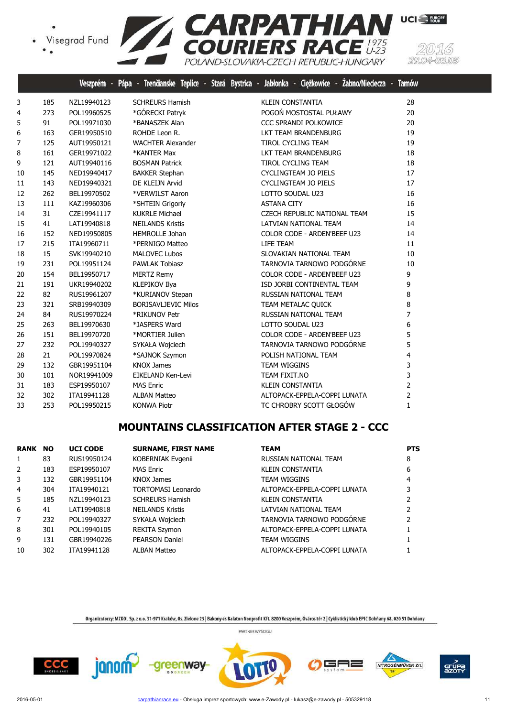

|    |     | Veszprém    | Pápa<br>Trenäanske Teplice | Ciężkowice -<br>Żabno/Nieciecza<br>Stará Bystrica -<br>Jabłonka - | <b>Tarnów</b>  |
|----|-----|-------------|----------------------------|-------------------------------------------------------------------|----------------|
| 3  | 185 | NZL19940123 | <b>SCHREURS Hamish</b>     | <b>KLEIN CONSTANTIA</b>                                           | 28             |
| 4  | 273 | POL19960525 | *GÓRECKI Patryk            | POGOŃ MOSTOSTAL PUŁAWY                                            | 20             |
| 5  | 91  | POL19971030 | *BANASZEK Alan             | <b>CCC SPRANDI POLKOWICE</b>                                      | 20             |
| 6  | 163 | GER19950510 | ROHDE Leon R.              | LKT TEAM BRANDENBURG                                              | 19             |
| 7  | 125 | AUT19950121 | <b>WACHTER Alexander</b>   | <b>TIROL CYCLING TEAM</b>                                         | 19             |
| 8  | 161 | GER19971022 | *KANTER Max                | LKT TEAM BRANDENBURG                                              | 18             |
| 9  | 121 | AUT19940116 | <b>BOSMAN Patrick</b>      | <b>TIROL CYCLING TEAM</b>                                         | 18             |
| 10 | 145 | NED19940417 | <b>BAKKER Stephan</b>      | <b>CYCLINGTEAM JO PIELS</b>                                       | 17             |
| 11 | 143 | NED19940321 | DE KLEIJN Arvid            | <b>CYCLINGTEAM JO PIELS</b>                                       | 17             |
| 12 | 262 | BEL19970502 | *VERWILST Aaron            | LOTTO SOUDAL U23                                                  | 16             |
| 13 | 111 | KAZ19960306 | *SHTEIN Grigoriy           | <b>ASTANA CITY</b>                                                | 16             |
| 14 | 31  | CZE19941117 | <b>KUKRLE Michael</b>      | CZECH REPUBLIC NATIONAL TEAM                                      | 15             |
| 15 | 41  | LAT19940818 | <b>NEILANDS Kristis</b>    | LATVIAN NATIONAL TEAM                                             | 14             |
| 16 | 152 | NED19950805 | <b>HEMROLLE Johan</b>      | COLOR CODE - ARDEN'BEEF U23                                       | 14             |
| 17 | 215 | ITA19960711 | *PERNIGO Matteo            | LIFE TEAM                                                         | 11             |
| 18 | 15  | SVK19940210 | <b>MALOVEC Lubos</b>       | SLOVAKIAN NATIONAL TEAM                                           | 10             |
| 19 | 231 | POL19951124 | <b>PAWLAK Tobiasz</b>      | TARNOVIA TARNOWO PODGÓRNE                                         | 10             |
| 20 | 154 | BEL19950717 | <b>MERTZ Remy</b>          | COLOR CODE - ARDEN'BEEF U23                                       | 9              |
| 21 | 191 | UKR19940202 | <b>KLEPIKOV Ilya</b>       | ISD JORBI CONTINENTAL TEAM                                        | 9              |
| 22 | 82  | RUS19961207 | *KURIANOV Stepan           | RUSSIAN NATIONAL TEAM                                             | 8              |
| 23 | 321 | SRB19940309 | <b>BORISAVLJEVIC Milos</b> | TEAM METALAC QUICK                                                | 8              |
| 24 | 84  | RUS19970224 | *RIKUNOV Petr              | RUSSIAN NATIONAL TEAM                                             | $\overline{7}$ |
| 25 | 263 | BEL19970630 | *JASPERS Ward              | LOTTO SOUDAL U23                                                  | 6              |
| 26 | 151 | BEL19970720 | *MORTIER Julien            | COLOR CODE - ARDEN'BEEF U23                                       | 5              |
| 27 | 232 | POL19940327 | SYKAŁA Wojciech            | TARNOVIA TARNOWO PODGÓRNE                                         | 5              |
| 28 | 21  | POL19970824 | *SAJNOK Szymon             | POLISH NATIONAL TEAM                                              | 4              |
| 29 | 132 | GBR19951104 | <b>KNOX James</b>          | <b>TEAM WIGGINS</b>                                               | 3              |
| 30 | 101 | NOR19941009 | EIKELAND Ken-Levi          | TEAM FIXIT.NO                                                     | 3              |
| 31 | 183 | ESP19950107 | <b>MAS Enric</b>           | <b>KLEIN CONSTANTIA</b>                                           | $\overline{2}$ |
| 32 | 302 | ITA19941128 | <b>ALBAN Matteo</b>        | ALTOPACK-EPPELA-COPPI LUNATA                                      | $\overline{2}$ |
| 33 | 253 | POL19950215 | <b>KONWA Piotr</b>         | TC CHROBRY SCOTT GŁOGÓW                                           | $\mathbf{1}$   |

# **MOUNTAINS CLASSIFICATION AFTER STAGE 2 - CCC**

| <b>RANK NO</b> |     | <b>UCI CODE</b> | <b>SURNAME, FIRST NAME</b> | <b>TEAM</b>                  | <b>PTS</b> |
|----------------|-----|-----------------|----------------------------|------------------------------|------------|
| 1              | 83  | RUS19950124     | KOBERNIAK Evgenii          | RUSSIAN NATIONAL TEAM        | 8          |
| 2              | 183 | ESP19950107     | <b>MAS Enric</b>           | <b>KLEIN CONSTANTIA</b>      | 6          |
| 3              | 132 | GBR19951104     | <b>KNOX James</b>          | TEAM WIGGINS                 | 4          |
| 4              | 304 | ITA19940121     | <b>TORTOMASI Leonardo</b>  | ALTOPACK-EPPELA-COPPI LUNATA |            |
| 5.             | 185 | NZL19940123     | <b>SCHREURS Hamish</b>     | KLEIN CONSTANTIA             |            |
| 6              | 41  | LAT19940818     | <b>NEILANDS Kristis</b>    | LATVIAN NATIONAL TEAM        |            |
| 7              | 232 | POL19940327     | SYKAŁA Wojciech            | TARNOVIA TARNOWO PODGÓRNE    |            |
| 8              | 301 | POL19940105     | <b>REKITA Szymon</b>       | ALTOPACK-EPPELA-COPPI LUNATA |            |
| 9              | 131 | GBR19940226     | <b>PEARSON Daniel</b>      | <b>TEAM WIGGINS</b>          |            |
| 10             | 302 | ITA19941128     | <b>ALBAN Matteo</b>        | ALTOPACK-EPPELA-COPPI LUNATA |            |

Organizatorzy: MZKOL Sp. z o.o. 31-971 Kraków, Os. Zielone 25 | Bakony és Balaton Nonprofit Kft. 8200 Veszprém, Óváros tér 2 | Cyklistický klub EPIC Dohňany 68, 020 51 Dohňany PARTNER WYŚCIGU











03.05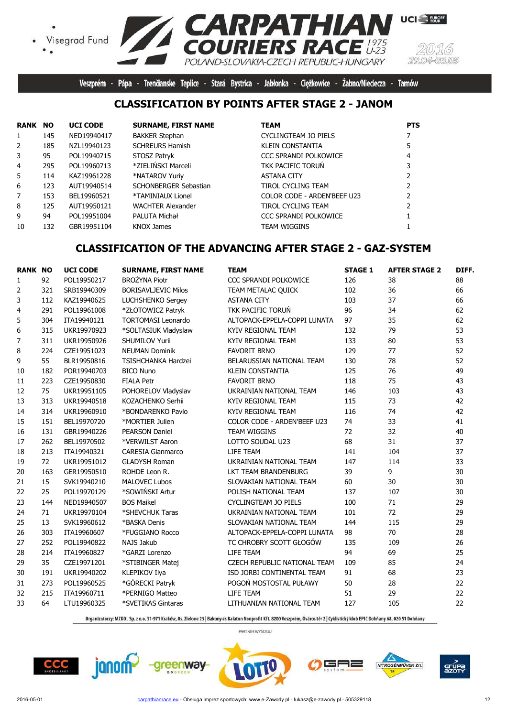



**UCI** EUROPE

Veszprém - Pápa - Trenčianske Teplice - Stará Bystrica - Jabłonka - Ciężkowice - Żabno/Nieciecza - Tarnów

## **CLASSIFICATION BY POINTS AFTER STAGE 2 - JANOM**

| RANK           | <b>NO</b> | <b>UCI CODE</b> | <b>SURNAME, FIRST NAME</b> | <b>TEAM</b>                  | <b>PTS</b> |
|----------------|-----------|-----------------|----------------------------|------------------------------|------------|
| 1              | 145       | NED19940417     | <b>BAKKER Stephan</b>      | CYCLINGTEAM JO PIELS         |            |
| $\overline{2}$ | 185       | NZL19940123     | <b>SCHREURS Hamish</b>     | KLEIN CONSTANTIA             |            |
| 3              | 95        | POL19940715     | STOSZ Patryk               | <b>CCC SPRANDI POLKOWICE</b> |            |
| $\overline{4}$ | 295       | POL19960713     | *ZIELIŃSKI Marceli         | TKK PACIFIC TORUN            |            |
| 5.             | 114       | KAZ19961228     | *NATAROV Yuriy             | <b>ASTANA CITY</b>           |            |
| 6              | 123       | AUT19940514     | SCHONBERGER Sebastian      | <b>TIROL CYCLING TEAM</b>    |            |
| 7              | 153       | BEL19960521     | *TAMINIAUX Lionel          | COLOR CODE - ARDEN'BEEF U23  |            |
| 8              | 125       | AUT19950121     | <b>WACHTER Alexander</b>   | TIROL CYCLING TEAM           |            |
| 9              | 94        | POL19951004     | PALUTA Michał              | <b>CCC SPRANDI POLKOWICE</b> |            |
| 10             | 132       | GBR19951104     | KNOX James                 | <b>TEAM WIGGINS</b>          |            |

# **CLASSIFICATION OF THE ADVANCING AFTER STAGE 2 - GAZ-SYSTEM**

| <b>RANK NO</b> |     | <b>UCI CODE</b> | <b>SURNAME, FIRST NAME</b> | <b>TEAM</b>                         | <b>STAGE 1</b> | <b>AFTER STAGE 2</b> | DIFF. |
|----------------|-----|-----------------|----------------------------|-------------------------------------|----------------|----------------------|-------|
| 1              | 92  | POL19950217     | <b>BROŻYNA Piotr</b>       | CCC SPRANDI POLKOWICE               | 126            | 38                   | 88    |
| 2              | 321 | SRB19940309     | <b>BORISAVLJEVIC Milos</b> | TEAM METALAC QUICK                  | 102            | 36                   | 66    |
| 3              | 112 | KAZ19940625     | <b>LUCHSHENKO Sergey</b>   | <b>ASTANA CITY</b>                  | 103            | 37                   | 66    |
| 4              | 291 | POL19961008     | *ZŁOTOWICZ Patryk          | <b>TKK PACIFIC TORUN</b>            | 96             | 34                   | 62    |
| 5              | 304 | ITA19940121     | <b>TORTOMASI Leonardo</b>  | ALTOPACK-EPPELA-COPPI LUNATA        | 97             | 35                   | 62    |
| 6              | 315 | UKR19970923     | *SOLTASIUK Vladyslaw       | KYIV REGIONAL TEAM                  | 132            | 79                   | 53    |
| 7              | 311 | UKR19950926     | SHUMILOV Yurii             | KYIV REGIONAL TEAM                  | 133            | 80                   | 53    |
| 8              | 224 | CZE19951023     | <b>NEUMAN Dominik</b>      | <b>FAVORIT BRNO</b>                 | 129            | 77                   | 52    |
| 9              | 55  | BLR19950816     | <b>TSISHCHANKA Hardzei</b> | BELARUSSIAN NATIONAL TEAM           | 130            | 78                   | 52    |
| 10             | 182 | POR19940703     | <b>BICO Nuno</b>           | <b>KLEIN CONSTANTIA</b>             | 125            | 76                   | 49    |
| 11             | 223 | CZE19950830     | <b>FIALA Petr</b>          | <b>FAVORIT BRNO</b>                 | 118            | 75                   | 43    |
| 12             | 75  | UKR19951105     | POHORELOV Vladyslav        | UKRAINIAN NATIONAL TEAM             | 146            | 103                  | 43    |
| 13             | 313 | UKR19940518     | KOZACHENKO Serhii          | KYIV REGIONAL TEAM                  | 115            | 73                   | 42    |
| 14             | 314 | UKR19960910     | *BONDARENKO Pavlo          | KYIV REGIONAL TEAM                  | 116            | 74                   | 42    |
| 15             | 151 | BEL19970720     | *MORTIER Julien            | COLOR CODE - ARDEN'BEEF U23         | 74             | 33                   | 41    |
| 16             | 131 | GBR19940226     | <b>PEARSON Daniel</b>      | <b>TEAM WIGGINS</b>                 | 72             | 32                   | 40    |
| 17             | 262 | BEL19970502     | *VERWILST Aaron            | LOTTO SOUDAL U23                    | 68             | 31                   | 37    |
| 18             | 213 | ITA19940321     | <b>CARESIA Gianmarco</b>   | LIFE TEAM                           | 141            | 104                  | 37    |
| 19             | 72  | UKR19951012     | <b>GLADYSH Roman</b>       | UKRAINIAN NATIONAL TEAM             | 147            | 114                  | 33    |
| 20             | 163 | GER19950510     | ROHDE Leon R.              | LKT TEAM BRANDENBURG                | 39             | 9                    | 30    |
| 21             | 15  | SVK19940210     | <b>MALOVEC Lubos</b>       | SLOVAKIAN NATIONAL TEAM             | 60             | 30                   | 30    |
| 22             | 25  | POL19970129     | *SOWIŃSKI Artur            | POLISH NATIONAL TEAM                | 137            | 107                  | 30    |
| 23             | 144 | NED19940507     | <b>BOS Maikel</b>          | CYCLINGTEAM JO PIELS                | 100            | 71                   | 29    |
| 24             | 71  | UKR19970104     | *SHEVCHUK Taras            | UKRAINIAN NATIONAL TEAM             | 101            | 72                   | 29    |
| 25             | 13  | SVK19960612     | *BASKA Denis               | SLOVAKIAN NATIONAL TEAM             | 144            | 115                  | 29    |
| 26             | 303 | ITA19960607     | *FUGGIANO Rocco            | ALTOPACK-EPPELA-COPPI LUNATA        | 98             | 70                   | 28    |
| 27             | 252 | POL19940822     | NAJS Jakub                 | TC CHROBRY SCOTT GŁOGÓW             | 135            | 109                  | 26    |
| 28             | 214 | ITA19960827     | *GARZI Lorenzo             | LIFE TEAM                           | 94             | 69                   | 25    |
| 29             | 35  | CZE19971201     | *STIBINGER Matej           | <b>CZECH REPUBLIC NATIONAL TEAM</b> | 109            | 85                   | 24    |
| 30             | 191 | UKR19940202     | KLEPIKOV Ilya              | ISD JORBI CONTINENTAL TEAM          | 91             | 68                   | 23    |
| 31             | 273 | POL19960525     | *GÓRECKI Patryk            | POGOŃ MOSTOSTAL PUŁAWY              | 50             | 28                   | 22    |
| 32             | 215 | ITA19960711     | *PERNIGO Matteo            | LIFE TEAM                           | 51             | 29                   | 22    |
| 33             | 64  | LTU19960325     | *SVETIKAS Gintaras         | LITHUANIAN NATIONAL TEAM            | 127            | 105                  | 22    |
|                |     |                 |                            |                                     |                |                      |       |

Organizatorzy: MZKOL Sp. z o.o. 31-971 Kraków, Os. Zielone 25 | Bakony és Balaton Nonprofit Kft. 8200 Veszprém, Óváros tér 2 | Cyklistický klub EPIC Dohňany 68, 020 51 Dohňany









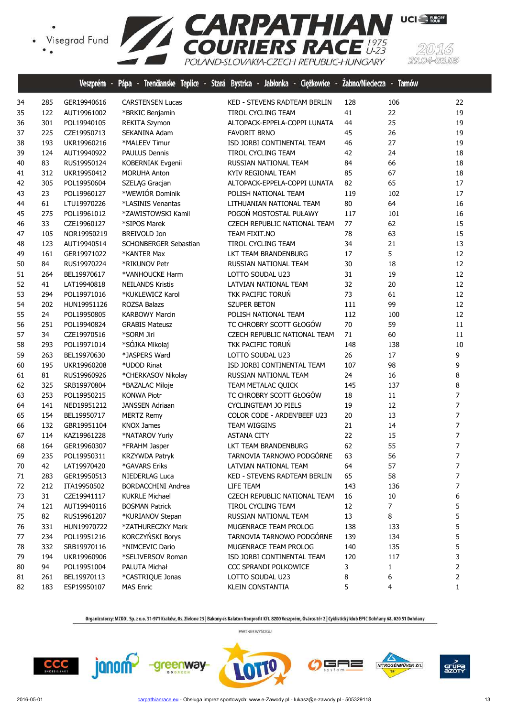

|    |     | veszprem    | rapa<br>ю.               | Trendanske leplice - Stara Bystrica - Japionka - Ciężkowice |     | zapno/Niegecza - larnow |                |
|----|-----|-------------|--------------------------|-------------------------------------------------------------|-----|-------------------------|----------------|
| 34 | 285 | GER19940616 | <b>CARSTENSEN Lucas</b>  | KED - STEVENS RADTEAM BERLIN                                | 128 | 106                     | 22             |
| 35 | 122 | AUT19961002 | *BRKIC Benjamin          | <b>TIROL CYCLING TEAM</b>                                   | 41  | 22                      | 19             |
| 36 | 301 | POL19940105 | <b>REKITA Szymon</b>     | ALTOPACK-EPPELA-COPPI LUNATA                                | 44  | 25                      | 19             |
| 37 | 225 | CZE19950713 | SEKANINA Adam            | <b>FAVORIT BRNO</b>                                         | 45  | 26                      | 19             |
| 38 | 193 | UKR19960216 | *MALEEV Timur            | ISD JORBI CONTINENTAL TEAM                                  | 46  | 27                      | 19             |
| 39 | 124 | AUT19940922 | <b>PAULUS Dennis</b>     | TIROL CYCLING TEAM                                          | 42  | 24                      | 18             |
| 40 | 83  | RUS19950124 | <b>KOBERNIAK Evgenii</b> | RUSSIAN NATIONAL TEAM                                       | 84  | 66                      | 18             |
| 41 | 312 | UKR19950412 | <b>MORUHA Anton</b>      | KYIV REGIONAL TEAM                                          | 85  | 67                      | 18             |
| 42 | 305 | POL19950604 | SZELĄG Gracjan           | ALTOPACK-EPPELA-COPPI LUNATA                                | 82  | 65                      | 17             |
| 43 | 23  | POL19960127 | *WEWIÓR Dominik          | POLISH NATIONAL TEAM                                        | 119 | 102                     | 17             |
| 44 | 61  | LTU19970226 | *LASINIS Venantas        | LITHUANIAN NATIONAL TEAM                                    | 80  | 64                      | 16             |
| 45 | 275 | POL19961012 | *ZAWISTOWSKI Kamil       | POGOŃ MOSTOSTAL PUŁAWY                                      | 117 | 101                     | 16             |
| 46 | 33  | CZE19960127 | *SIPOS Marek             | CZECH REPUBLIC NATIONAL TEAM                                | 77  | 62                      | 15             |
| 47 | 105 | NOR19950219 | <b>BREIVOLD Jon</b>      | TEAM FIXIT.NO                                               | 78  | 63                      | 15             |
| 48 | 123 | AUT19940514 | SCHONBERGER Sebastian    | TIROL CYCLING TEAM                                          | 34  | 21                      | 13             |
| 49 | 161 | GER19971022 | *KANTER Max              | LKT TEAM BRANDENBURG                                        | 17  | 5                       | 12             |
| 50 | 84  | RUS19970224 | *RIKUNOV Petr            | RUSSIAN NATIONAL TEAM                                       | 30  | 18                      | 12             |
| 51 | 264 | BEL19970617 | *VANHOUCKE Harm          | LOTTO SOUDAL U23                                            | 31  | 19                      | 12             |
| 52 | 41  | LAT19940818 | <b>NEILANDS Kristis</b>  | LATVIAN NATIONAL TEAM                                       | 32  | 20                      | 12             |
| 53 | 294 | POL19971016 | *KUKLEWICZ Karol         | TKK PACIFIC TORUN                                           | 73  | 61                      | 12             |
| 54 | 202 | HUN19951126 | ROZSA Balazs             | <b>SZUPER BETON</b>                                         | 111 | 99                      | 12             |
| 55 | 24  | POL19950805 | <b>KARBOWY Marcin</b>    | POLISH NATIONAL TEAM                                        | 112 | 100                     | 12             |
| 56 | 251 | POL19940824 | <b>GRABIS Mateusz</b>    | TC CHROBRY SCOTT GŁOGÓW                                     | 70  | 59                      | 11             |
| 57 | 34  | CZE19970516 | *SORM Jiri               | CZECH REPUBLIC NATIONAL TEAM                                | 71  | 60                      | 11             |
| 58 | 293 | POL19971014 | *SÓJKA Mikołaj           | TKK PACIFIC TORUN                                           | 148 | 138                     | 10             |
| 59 | 263 | BEL19970630 | *JASPERS Ward            | LOTTO SOUDAL U23                                            | 26  | 17                      | 9              |
| 60 | 195 | UKR19960208 | *UDOD Rinat              | ISD JORBI CONTINENTAL TEAM                                  | 107 | 98                      | 9              |
| 61 | 81  | RUS19960926 | *CHERKASOV Nikolay       | RUSSIAN NATIONAL TEAM                                       | 24  | 16                      | 8              |
| 62 | 325 | SRB19970804 | *BAZALAC Miloje          | TEAM METALAC QUICK                                          | 145 | 137                     | 8              |
| 63 | 253 | POL19950215 | <b>KONWA Piotr</b>       | TC CHROBRY SCOTT GŁOGÓW                                     | 18  | 11                      | $\overline{7}$ |
| 64 | 141 | NED19951212 | <b>JANSSEN Adriaan</b>   | <b>CYCLINGTEAM JO PIELS</b>                                 | 19  | 12                      | $\overline{7}$ |
| 65 | 154 | BEL19950717 | <b>MERTZ Remy</b>        | COLOR CODE - ARDEN'BEEF U23                                 | 20  | 13                      | $\overline{7}$ |
| 66 | 132 | GBR19951104 | <b>KNOX James</b>        | TEAM WIGGINS                                                | 21  | 14                      | $\overline{7}$ |
| 67 | 114 | KAZ19961228 | *NATAROV Yuriy           | <b>ASTANA CITY</b>                                          | 22  | 15                      | 7              |
| 68 | 164 | GER19960307 | *FRAHM Jasper            | LKT TEAM BRANDENBURG                                        | 62  | 55                      | 7              |
| 69 | 235 | POL19950311 | KRZYWDA Patryk           | TARNOVIA TARNOWO PODGÓRNE                                   | 63  | 56                      | $\overline{7}$ |
| 70 | 42  | LAT19970420 | *GAVARS Eriks            | LATVIAN NATIONAL TEAM                                       | 64  | 57                      | 7              |
| 71 | 283 | GER19950513 | NIEDERLAG Luca           | KED - STEVENS RADTEAM BERLIN                                | 65  | 58                      | 7              |
| 72 | 212 | ITA19950502 | BORDACCHINI Andrea       | LIFE TEAM                                                   | 143 | 136                     | 7              |
| 73 | 31  | CZE19941117 | <b>KUKRLE Michael</b>    | <b>CZECH REPUBLIC NATIONAL TEAM</b>                         | 16  | 10                      | 6              |
| 74 | 121 | AUT19940116 | <b>BOSMAN Patrick</b>    | TIROL CYCLING TEAM                                          | 12  | $\overline{7}$          | 5              |
| 75 | 82  | RUS19961207 | *KURIANOV Stepan         | RUSSIAN NATIONAL TEAM                                       | 13  | 8                       | 5              |
| 76 | 331 | HUN19970722 | *ZATHURECZKY Mark        | MUGENRACE TEAM PROLOG                                       | 138 | 133                     | 5              |
| 77 | 234 | POL19951216 | KORCZYŃSKI Borys         | TARNOVIA TARNOWO PODGÓRNE                                   | 139 | 134                     | 5              |
| 78 | 332 | SRB19970116 | *NIMCEVIC Dario          | MUGENRACE TEAM PROLOG                                       | 140 | 135                     | 5              |
| 79 | 194 | UKR19960906 | *SELIVERSOV Roman        | ISD JORBI CONTINENTAL TEAM                                  | 120 | 117                     | 3              |
| 80 | 94  | POL19951004 | PALUTA Michał            | CCC SPRANDI POLKOWICE                                       | 3   | 1                       | 2              |
| 81 | 261 | BEL19970113 | *CASTRIQUE Jonas         | LOTTO SOUDAL U23                                            | 8   | 6                       | 2              |
| 82 | 183 | ESP19950107 | <b>MAS Enric</b>         | KLEIN CONSTANTIA                                            | 5   | 4                       | 1              |
|    |     |             |                          |                                                             |     |                         |                |

Organizatorzy: MZKOL Sp. z o.o. 31-971 Kraków, Os. Zielone 25 | Bakony és Balaton Nonprofit Kft. 8200 Veszprém, Óváros tér 2 | Cyklistický klub EPIC Dohňany 68, 020 51 Dohňany PARTNER WYŚCIGU









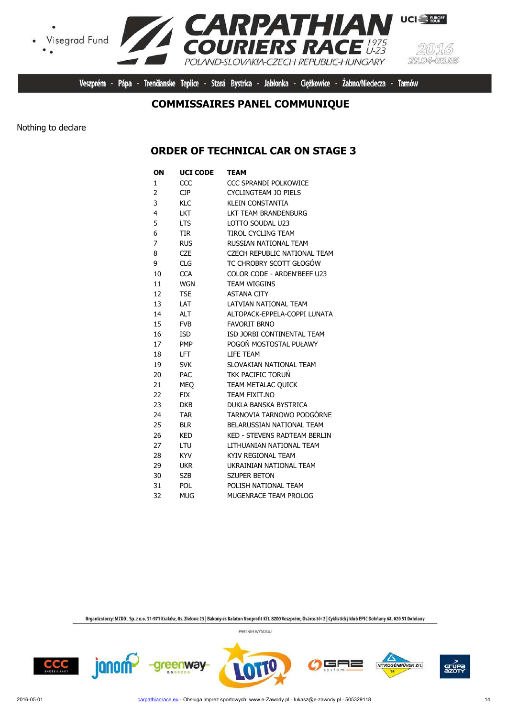

Veszprém - Pápa - Trenčianske Teplice - Stará Bystrica - Jabłonka - Ciężkowice - Żabno/Nieciecza -**Tarnów** 

#### **COMMISSAIRES PANEL COMMUNIQUE**

Nothing to declare

 $\bullet$ 

#### **ORDER OF TECHNICAL CAR ON STAGE 3**

| OΝ             | <b>UCI CODE</b> | TEAM                                |
|----------------|-----------------|-------------------------------------|
| $\mathbf{1}$   | CCC             | CCC SPRANDI POLKOWICE               |
| $\overline{2}$ | <b>CJP</b>      | <b>CYCLINGTEAM JO PIELS</b>         |
| 3              | <b>KLC</b>      | <b>KLEIN CONSTANTIA</b>             |
| 4              | LKT             | LKT TEAM BRANDENBURG                |
| 5              | <b>LTS</b>      | LOTTO SOUDAL U23                    |
| 6              | <b>TIR</b>      | TIROL CYCLING TEAM                  |
| 7              | <b>RUS</b>      | RUSSIAN NATIONAL TEAM               |
| 8              | <b>CZE</b>      | CZECH REPUBLIC NATIONAL TEAM        |
| 9              | <b>CLG</b>      | TC CHROBRY SCOTT GŁOGÓW             |
| 10             | <b>CCA</b>      | COLOR CODE - ARDEN'BEEF U23         |
| 11             | <b>WGN</b>      | <b>TEAM WIGGINS</b>                 |
| 12             | <b>TSE</b>      | <b>ASTANA CITY</b>                  |
| 13             | LAT             | LATVIAN NATIONAL TEAM               |
| 14             | <b>ALT</b>      | ALTOPACK-EPPELA-COPPI LUNATA        |
| 15             | <b>FVB</b>      | <b>FAVORIT BRNO</b>                 |
| 16             | <b>ISD</b>      | ISD JORBI CONTINENTAL TEAM          |
| 17             | <b>PMP</b>      | POGOŃ MOSTOSTAL PUŁAWY              |
| 18             | LFT.            | LIFE TEAM                           |
| 19             | <b>SVK</b>      | SLOVAKIAN NATIONAL TEAM             |
| 20             | <b>PAC</b>      | TKK PACIFIC TORUŃ                   |
| 21             | <b>MEO</b>      | TEAM METALAC QUICK                  |
| 22             | <b>FIX</b>      | TEAM FIXIT.NO                       |
| 23             | <b>DKB</b>      | DUKLA BANSKA BYSTRICA               |
| 24             | <b>TAR</b>      | TARNOVIA TARNOWO PODGÓRNE           |
| 25             | <b>BLR</b>      | BELARUSSIAN NATIONAL TEAM           |
| 26             | <b>KED</b>      | <b>KED - STEVENS RADTEAM BERLIN</b> |
| 27             | LTU             | LITHUANIAN NATIONAL TEAM            |
| 28             | <b>KYV</b>      | KYIV REGIONAL TEAM                  |
| 29             | <b>UKR</b>      | UKRAINIAN NATIONAL TEAM             |
| 30             | SZB             | <b>SZUPER BETON</b>                 |
| 31             | <b>POL</b>      | POLISH NATIONAL TEAM                |
| 32             | <b>MUG</b>      | MUGENRACE TEAM PROLOG               |

Organizatorzy: MZKOL Sp. z o.o. 31-971 Kraków, Os. Zielone 25 | Bakony és Balaton Nonprofit Kft. 8200 Veszprém, Óváros tér 2 | Cyklistický klub EPIC Dohňany 68, 020 51 Dohňany

PARTNER WYŚCIGU



janom<sup>2</sup>

greenway



5F ╕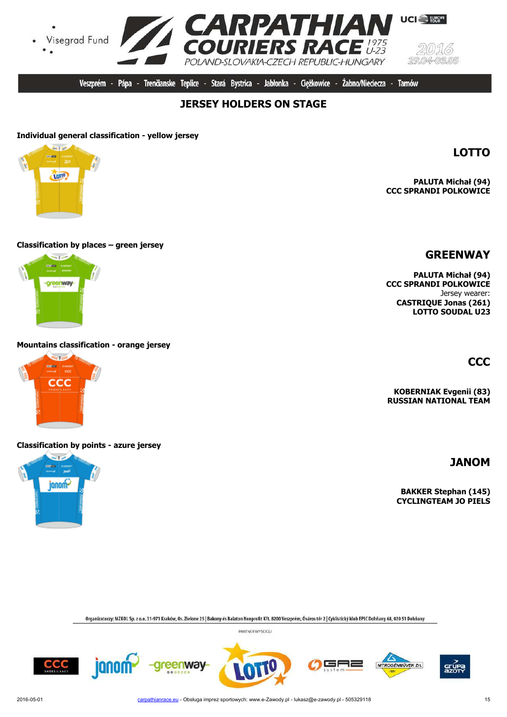CCC

janon

2016-05-01 carpathianrace.eu - Obsługa imprez sportowych: www.e-Zawody.pl - lukasz@e-zawody.pl - 505329118

Organizatorzy: MZKOL Sp. z o.o. 31-971 Kraków, Os. Zielone 25 | Bakony és Balaton Nonprofit Kft. 8200 Veszprém, Óváros tér 2 | Cyklistický klub EPIC Dohňany 68, 020 51 Dohňany

PARTNER WYŚCIGU





**reenway** 





**RUSSIAN NATIONAL TEAM**

**PALUTA Michał (94) CCC SPRANDI POLKOWICE** Jersey wearer: **CASTRIQUE Jonas (261) LOTTO SOUDAL U23**

**GREENWAY**

 $29.04$ 0305 **Tarnów** 

**UCI** FURGPE

Żabno/Nieciecza -

# **JERSEY HOLDERS ON STAGE**

#### **Individual general classification - yellow jersey**

**top** 

#### **Classification by places – green jersey**

ana. -areenway-

#### **Mountains classification - orange jersey**



#### **Classification by points - azure jersey**













╕



**CCC**

**KOBERNIAK Evgenii (83)**

**JANOM**

**PALUTA Michał (94) CCC SPRANDI POLKOWICE**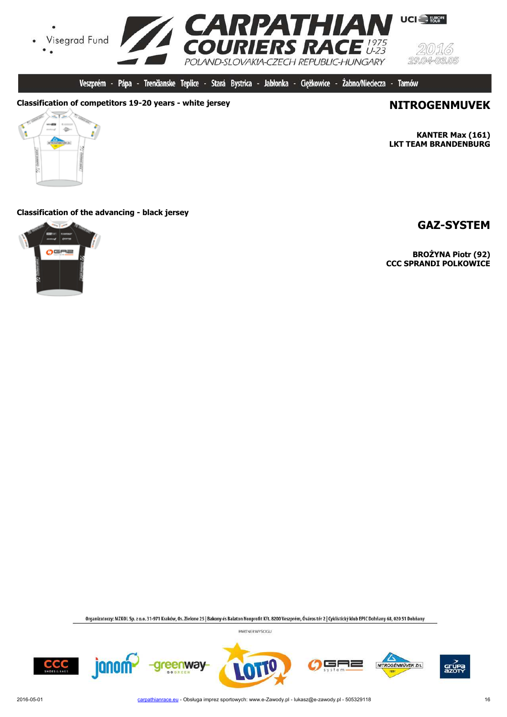

Veszprém - Pápa - Trenčianske Teplice - Stará Bystrica - Jabłonka - Cieżkowice -Żabno/Nieciecza - Tarnów

#### **Classification of competitors 19-20 years - white jersey <b>NITROGENMUVEK**



**KANTER Max (161) LKT TEAM BRANDENBURG**

#### **Classification of the advancing - black jersey**



#### **GAZ-SYSTEM**

**BROŻYNA Piotr (92) CCC SPRANDI POLKOWICE**

Organizatorzy: MZKOL Sp. z o.o. 31-971 Kraków, Os. Zielone 25 | Bakony és Balaton Nonprofit Kft. 8200 Veszprém, Óváros tér 2 | Cyklistický klub EPIC Dohňany 68, 020 51 Dohňany









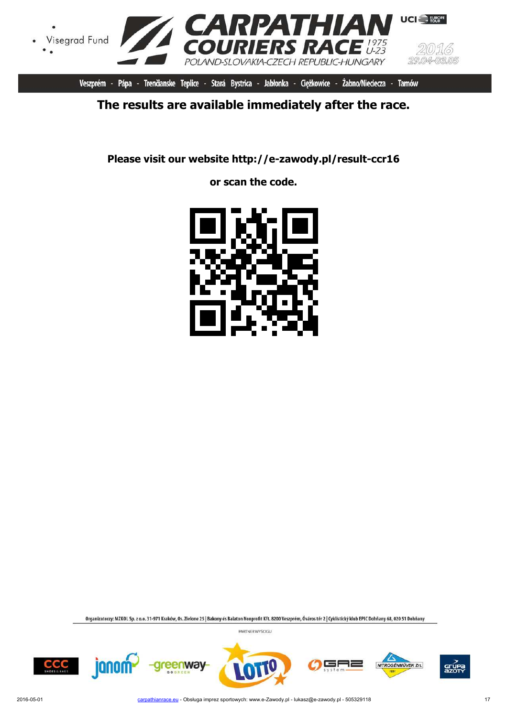

Veszprém - Pápa - Trenčianske Teplice - Stará Bystrica - Jabłonka - Ciężkowice - Żabno/Nieciecza - Tarnów

# **The results are available immediately after the race.**

**Please visit our website http://e-zawody.pl/result-ccr16**

**or scan the code.**



Organizatorzy: MZKOL Sp. z o.o. 31-971 Kraków, Os. Zielone 25 | Bakony és Balaton Nonprofit Kft. 8200 Veszprém, Óváros tér 2 | Cyklistický klub EPIC Dohňany 68, 020 51 Dohňany